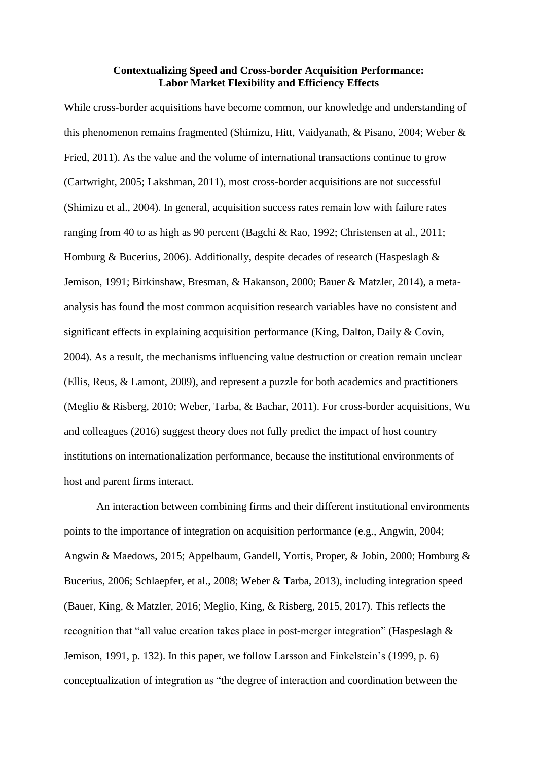## **Contextualizing Speed and Cross-border Acquisition Performance: Labor Market Flexibility and Efficiency Effects**

While cross-border acquisitions have become common, our knowledge and understanding of this phenomenon remains fragmented (Shimizu, Hitt, Vaidyanath, & Pisano, 2004; Weber & Fried, 2011). As the value and the volume of international transactions continue to grow (Cartwright, 2005; Lakshman, 2011), most cross-border acquisitions are not successful (Shimizu et al., 2004). In general, acquisition success rates remain low with failure rates ranging from 40 to as high as 90 percent (Bagchi & Rao, 1992; Christensen at al., 2011; Homburg & Bucerius, 2006). Additionally, despite decades of research (Haspeslagh & Jemison, 1991; Birkinshaw, Bresman, & Hakanson, 2000; Bauer & Matzler, 2014), a metaanalysis has found the most common acquisition research variables have no consistent and significant effects in explaining acquisition performance (King, Dalton, Daily & Covin, 2004). As a result, the mechanisms influencing value destruction or creation remain unclear (Ellis, Reus, & Lamont, 2009), and represent a puzzle for both academics and practitioners (Meglio & Risberg, 2010; Weber, Tarba, & Bachar, 2011). For cross-border acquisitions, Wu and colleagues (2016) suggest theory does not fully predict the impact of host country institutions on internationalization performance, because the institutional environments of host and parent firms interact.

An interaction between combining firms and their different institutional environments points to the importance of integration on acquisition performance (e.g., Angwin, 2004; Angwin & Maedows, 2015; Appelbaum, Gandell, Yortis, Proper, & Jobin, 2000; Homburg & Bucerius, 2006; Schlaepfer, et al., 2008; Weber & Tarba, 2013), including integration speed (Bauer, King, & Matzler, 2016; Meglio, King, & Risberg, 2015, 2017). This reflects the recognition that "all value creation takes place in post-merger integration" (Haspeslagh & Jemison, 1991, p. 132). In this paper, we follow Larsson and Finkelstein's (1999, p. 6) conceptualization of integration as "the degree of interaction and coordination between the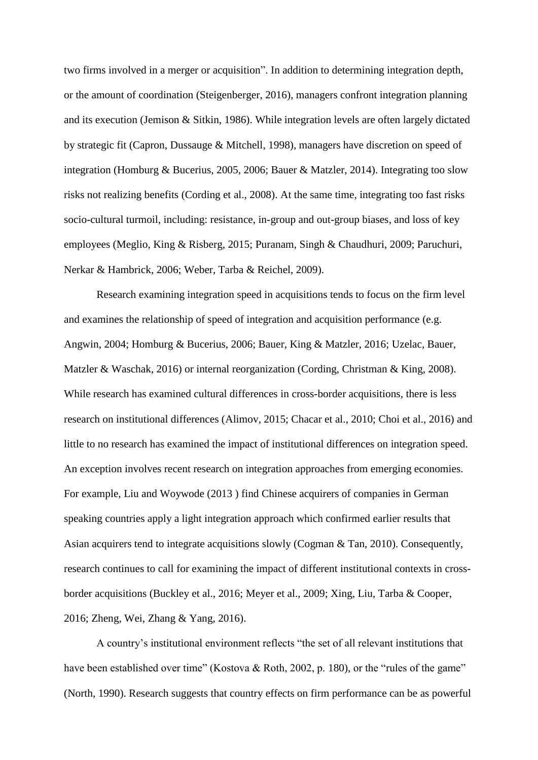two firms involved in a merger or acquisition". In addition to determining integration depth, or the amount of coordination (Steigenberger, 2016), managers confront integration planning and its execution (Jemison & Sitkin, 1986). While integration levels are often largely dictated by strategic fit (Capron, Dussauge & Mitchell, 1998), managers have discretion on speed of integration (Homburg & Bucerius, 2005, 2006; Bauer & Matzler, 2014). Integrating too slow risks not realizing benefits (Cording et al., 2008). At the same time, integrating too fast risks socio-cultural turmoil, including: resistance, in-group and out-group biases, and loss of key employees (Meglio, King & Risberg, 2015; Puranam, Singh & Chaudhuri, 2009; Paruchuri, Nerkar & Hambrick, 2006; Weber, Tarba & Reichel, 2009).

Research examining integration speed in acquisitions tends to focus on the firm level and examines the relationship of speed of integration and acquisition performance (e.g. Angwin, 2004; Homburg & Bucerius, 2006; Bauer, King & Matzler, 2016; Uzelac, Bauer, Matzler & Waschak, 2016) or internal reorganization (Cording, Christman & King, 2008). While research has examined cultural differences in cross-border acquisitions, there is less research on institutional differences (Alimov, 2015; Chacar et al., 2010; Choi et al., 2016) and little to no research has examined the impact of institutional differences on integration speed. An exception involves recent research on integration approaches from emerging economies. For example, Liu and Woywode (2013 ) find Chinese acquirers of companies in German speaking countries apply a light integration approach which confirmed earlier results that Asian acquirers tend to integrate acquisitions slowly (Cogman & Tan, 2010). Consequently, research continues to call for examining the impact of different institutional contexts in crossborder acquisitions (Buckley et al., 2016; Meyer et al., 2009; Xing, Liu, Tarba & Cooper, 2016; Zheng, Wei, Zhang & Yang, 2016).

A country's institutional environment reflects "the set of all relevant institutions that have been established over time" (Kostova & Roth, 2002, p. 180), or the "rules of the game" (North, 1990). Research suggests that country effects on firm performance can be as powerful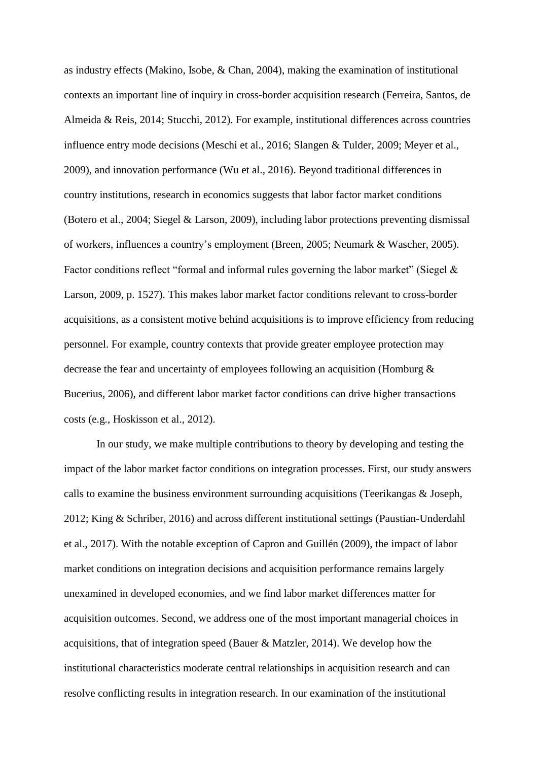as industry effects (Makino, Isobe, & Chan, 2004), making the examination of institutional contexts an important line of inquiry in cross-border acquisition research (Ferreira, Santos, de Almeida & Reis, 2014; Stucchi, 2012). For example, institutional differences across countries influence entry mode decisions (Meschi et al., 2016; Slangen & Tulder, 2009; Meyer et al., 2009), and innovation performance (Wu et al., 2016). Beyond traditional differences in country institutions, research in economics suggests that labor factor market conditions (Botero et al., 2004; Siegel & Larson, 2009), including labor protections preventing dismissal of workers, influences a country's employment (Breen, 2005; Neumark & Wascher, 2005). Factor conditions reflect "formal and informal rules governing the labor market" (Siegel & Larson, 2009, p. 1527). This makes labor market factor conditions relevant to cross-border acquisitions, as a consistent motive behind acquisitions is to improve efficiency from reducing personnel. For example, country contexts that provide greater employee protection may decrease the fear and uncertainty of employees following an acquisition (Homburg & Bucerius, 2006), and different labor market factor conditions can drive higher transactions costs (e.g., Hoskisson et al., 2012).

In our study, we make multiple contributions to theory by developing and testing the impact of the labor market factor conditions on integration processes. First, our study answers calls to examine the business environment surrounding acquisitions (Teerikangas & Joseph, 2012; King & Schriber, 2016) and across different institutional settings (Paustian-Underdahl et al., 2017). With the notable exception of Capron and Guillén (2009), the impact of labor market conditions on integration decisions and acquisition performance remains largely unexamined in developed economies, and we find labor market differences matter for acquisition outcomes. Second, we address one of the most important managerial choices in acquisitions, that of integration speed (Bauer & Matzler, 2014). We develop how the institutional characteristics moderate central relationships in acquisition research and can resolve conflicting results in integration research. In our examination of the institutional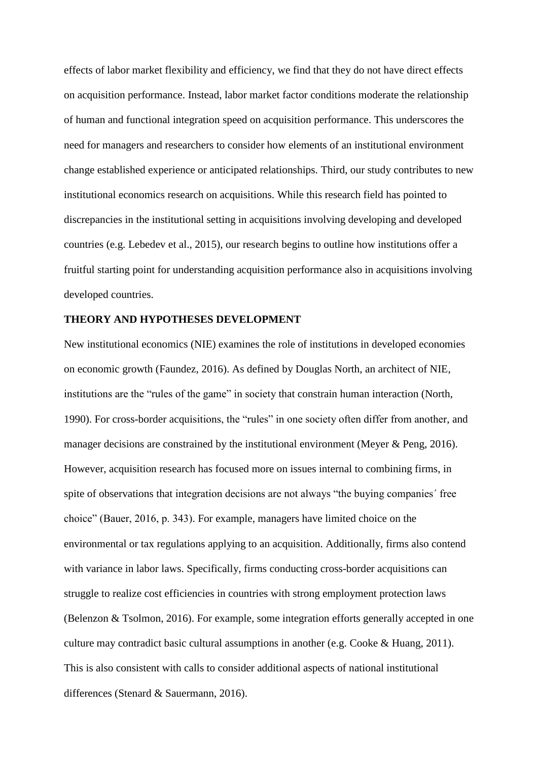effects of labor market flexibility and efficiency, we find that they do not have direct effects on acquisition performance. Instead, labor market factor conditions moderate the relationship of human and functional integration speed on acquisition performance. This underscores the need for managers and researchers to consider how elements of an institutional environment change established experience or anticipated relationships. Third, our study contributes to new institutional economics research on acquisitions. While this research field has pointed to discrepancies in the institutional setting in acquisitions involving developing and developed countries (e.g. Lebedev et al., 2015), our research begins to outline how institutions offer a fruitful starting point for understanding acquisition performance also in acquisitions involving developed countries.

### **THEORY AND HYPOTHESES DEVELOPMENT**

New institutional economics (NIE) examines the role of institutions in developed economies on economic growth (Faundez, 2016). As defined by Douglas North, an architect of NIE, institutions are the "rules of the game" in society that constrain human interaction (North, 1990). For cross-border acquisitions, the "rules" in one society often differ from another, and manager decisions are constrained by the institutional environment (Meyer & Peng, 2016). However, acquisition research has focused more on issues internal to combining firms, in spite of observations that integration decisions are not always "the buying companies´ free choice" (Bauer, 2016, p. 343). For example, managers have limited choice on the environmental or tax regulations applying to an acquisition. Additionally, firms also contend with variance in labor laws. Specifically, firms conducting cross-border acquisitions can struggle to realize cost efficiencies in countries with strong employment protection laws (Belenzon & Tsolmon, 2016). For example, some integration efforts generally accepted in one culture may contradict basic cultural assumptions in another (e.g. Cooke & Huang, 2011). This is also consistent with calls to consider additional aspects of national institutional differences (Stenard & Sauermann, 2016).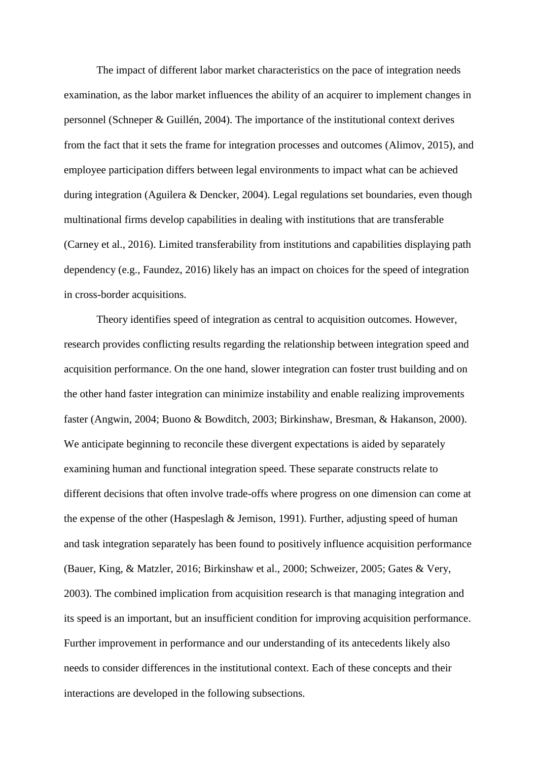The impact of different labor market characteristics on the pace of integration needs examination, as the labor market influences the ability of an acquirer to implement changes in personnel (Schneper & Guillén, 2004). The importance of the institutional context derives from the fact that it sets the frame for integration processes and outcomes (Alimov, 2015), and employee participation differs between legal environments to impact what can be achieved during integration (Aguilera & Dencker, 2004). Legal regulations set boundaries, even though multinational firms develop capabilities in dealing with institutions that are transferable (Carney et al., 2016). Limited transferability from institutions and capabilities displaying path dependency (e.g., Faundez, 2016) likely has an impact on choices for the speed of integration in cross-border acquisitions.

Theory identifies speed of integration as central to acquisition outcomes. However, research provides conflicting results regarding the relationship between integration speed and acquisition performance. On the one hand, slower integration can foster trust building and on the other hand faster integration can minimize instability and enable realizing improvements faster (Angwin, 2004; Buono & Bowditch, 2003; Birkinshaw, Bresman, & Hakanson, 2000). We anticipate beginning to reconcile these divergent expectations is aided by separately examining human and functional integration speed. These separate constructs relate to different decisions that often involve trade-offs where progress on one dimension can come at the expense of the other (Haspeslagh & Jemison, 1991). Further, adjusting speed of human and task integration separately has been found to positively influence acquisition performance (Bauer, King, & Matzler, 2016; Birkinshaw et al., 2000; Schweizer, 2005; Gates & Very, 2003). The combined implication from acquisition research is that managing integration and its speed is an important, but an insufficient condition for improving acquisition performance. Further improvement in performance and our understanding of its antecedents likely also needs to consider differences in the institutional context. Each of these concepts and their interactions are developed in the following subsections.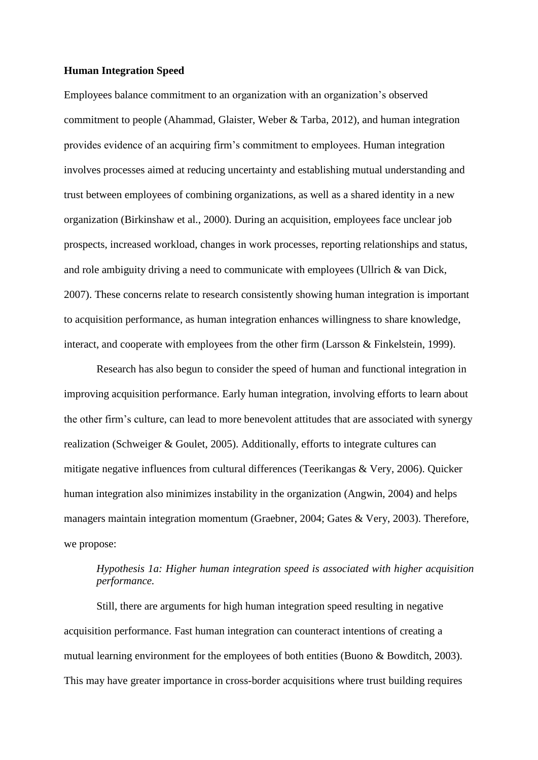## **Human Integration Speed**

Employees balance commitment to an organization with an organization's observed commitment to people (Ahammad, Glaister, Weber & Tarba, 2012), and human integration provides evidence of an acquiring firm's commitment to employees. Human integration involves processes aimed at reducing uncertainty and establishing mutual understanding and trust between employees of combining organizations, as well as a shared identity in a new organization (Birkinshaw et al., 2000). During an acquisition, employees face unclear job prospects, increased workload, changes in work processes, reporting relationships and status, and role ambiguity driving a need to communicate with employees (Ullrich & van Dick, 2007). These concerns relate to research consistently showing human integration is important to acquisition performance, as human integration enhances willingness to share knowledge, interact, and cooperate with employees from the other firm (Larsson & Finkelstein, 1999).

Research has also begun to consider the speed of human and functional integration in improving acquisition performance. Early human integration, involving efforts to learn about the other firm's culture, can lead to more benevolent attitudes that are associated with synergy realization (Schweiger & Goulet, 2005). Additionally, efforts to integrate cultures can mitigate negative influences from cultural differences (Teerikangas & Very, 2006). Quicker human integration also minimizes instability in the organization (Angwin, 2004) and helps managers maintain integration momentum (Graebner, 2004; Gates & Very, 2003). Therefore, we propose:

# *Hypothesis 1a: Higher human integration speed is associated with higher acquisition performance.*

Still, there are arguments for high human integration speed resulting in negative acquisition performance. Fast human integration can counteract intentions of creating a mutual learning environment for the employees of both entities (Buono & Bowditch, 2003). This may have greater importance in cross-border acquisitions where trust building requires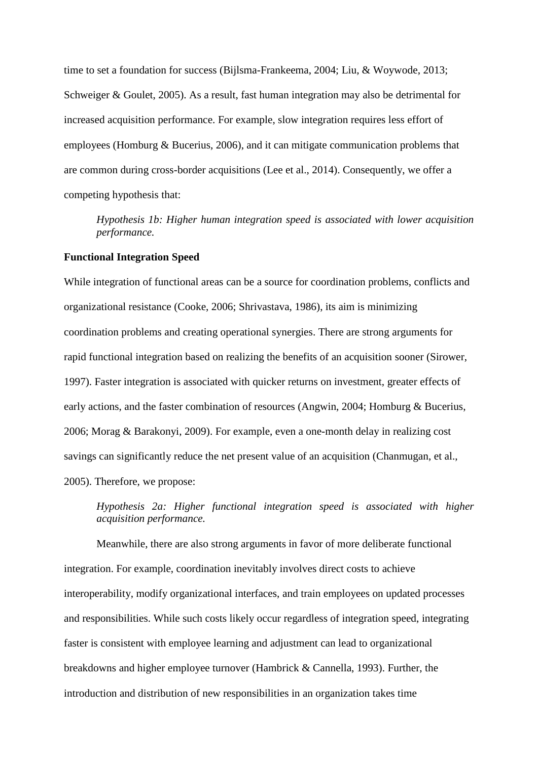time to set a foundation for success (Bijlsma-Frankeema, 2004; Liu, & Woywode, 2013; Schweiger & Goulet, 2005). As a result, fast human integration may also be detrimental for increased acquisition performance. For example, slow integration requires less effort of employees (Homburg & Bucerius, 2006), and it can mitigate communication problems that are common during cross-border acquisitions (Lee et al., 2014). Consequently, we offer a competing hypothesis that:

*Hypothesis 1b: Higher human integration speed is associated with lower acquisition performance.*

# **Functional Integration Speed**

While integration of functional areas can be a source for coordination problems, conflicts and organizational resistance (Cooke, 2006; Shrivastava, 1986), its aim is minimizing coordination problems and creating operational synergies. There are strong arguments for rapid functional integration based on realizing the benefits of an acquisition sooner (Sirower, 1997). Faster integration is associated with quicker returns on investment, greater effects of early actions, and the faster combination of resources (Angwin, 2004; Homburg & Bucerius, 2006; Morag & Barakonyi, 2009). For example, even a one-month delay in realizing cost savings can significantly reduce the net present value of an acquisition (Chanmugan, et al., 2005). Therefore, we propose:

*Hypothesis 2a: Higher functional integration speed is associated with higher acquisition performance.*

Meanwhile, there are also strong arguments in favor of more deliberate functional integration. For example, coordination inevitably involves direct costs to achieve interoperability, modify organizational interfaces, and train employees on updated processes and responsibilities. While such costs likely occur regardless of integration speed, integrating faster is consistent with employee learning and adjustment can lead to organizational breakdowns and higher employee turnover (Hambrick & Cannella, 1993). Further, the introduction and distribution of new responsibilities in an organization takes time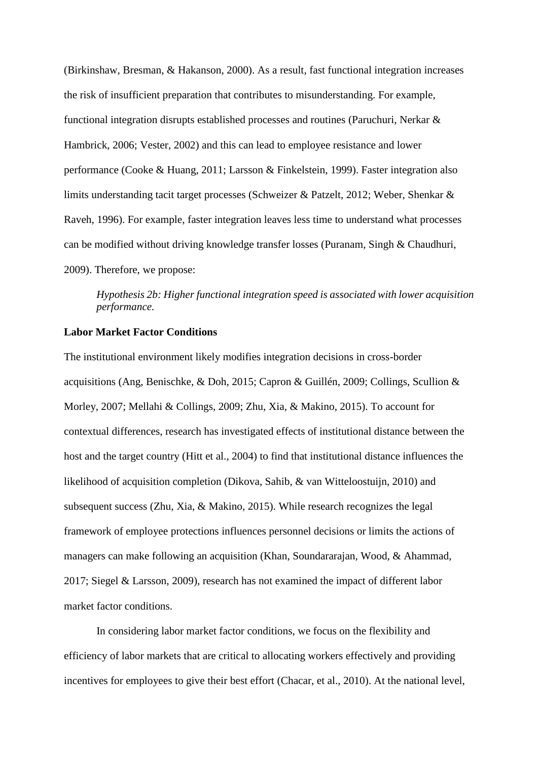(Birkinshaw, Bresman, & Hakanson, 2000). As a result, fast functional integration increases the risk of insufficient preparation that contributes to misunderstanding. For example, functional integration disrupts established processes and routines (Paruchuri, Nerkar & Hambrick, 2006; Vester, 2002) and this can lead to employee resistance and lower performance (Cooke & Huang, 2011; Larsson & Finkelstein, 1999). Faster integration also limits understanding tacit target processes (Schweizer & Patzelt, 2012; Weber, Shenkar & Raveh, 1996). For example, faster integration leaves less time to understand what processes can be modified without driving knowledge transfer losses (Puranam, Singh & Chaudhuri, 2009). Therefore, we propose:

*Hypothesis 2b: Higher functional integration speed is associated with lower acquisition performance.*

## **Labor Market Factor Conditions**

The institutional environment likely modifies integration decisions in cross-border acquisitions (Ang, Benischke, & Doh, 2015; Capron & Guillén, 2009; Collings, Scullion & Morley, 2007; Mellahi & Collings, 2009; Zhu, Xia, & Makino, 2015). To account for contextual differences, research has investigated effects of institutional distance between the host and the target country (Hitt et al., 2004) to find that institutional distance influences the likelihood of acquisition completion (Dikova, Sahib, & van Witteloostuijn, 2010) and subsequent success (Zhu, Xia, & Makino, 2015). While research recognizes the legal framework of employee protections influences personnel decisions or limits the actions of managers can make following an acquisition (Khan, Soundararajan, Wood, & Ahammad, 2017; Siegel & Larsson, 2009), research has not examined the impact of different labor market factor conditions.

In considering labor market factor conditions, we focus on the flexibility and efficiency of labor markets that are critical to allocating workers effectively and providing incentives for employees to give their best effort (Chacar, et al., 2010). At the national level,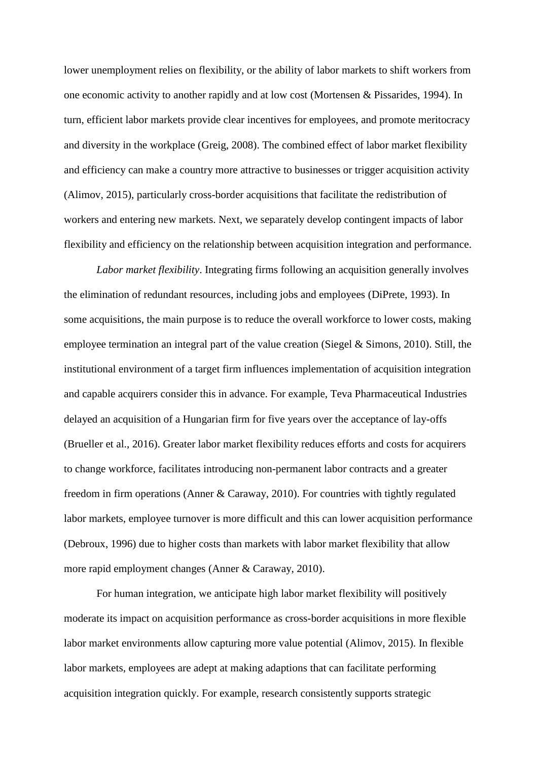lower unemployment relies on flexibility, or the ability of labor markets to shift workers from one economic activity to another rapidly and at low cost (Mortensen & Pissarides, 1994). In turn, efficient labor markets provide clear incentives for employees, and promote meritocracy and diversity in the workplace (Greig, 2008). The combined effect of labor market flexibility and efficiency can make a country more attractive to businesses or trigger acquisition activity (Alimov, 2015), particularly cross-border acquisitions that facilitate the redistribution of workers and entering new markets. Next, we separately develop contingent impacts of labor flexibility and efficiency on the relationship between acquisition integration and performance.

*Labor market flexibility*. Integrating firms following an acquisition generally involves the elimination of redundant resources, including jobs and employees (DiPrete, 1993). In some acquisitions, the main purpose is to reduce the overall workforce to lower costs, making employee termination an integral part of the value creation (Siegel & Simons, 2010). Still, the institutional environment of a target firm influences implementation of acquisition integration and capable acquirers consider this in advance. For example, Teva Pharmaceutical Industries delayed an acquisition of a Hungarian firm for five years over the acceptance of lay-offs (Brueller et al., 2016). Greater labor market flexibility reduces efforts and costs for acquirers to change workforce, facilitates introducing non-permanent labor contracts and a greater freedom in firm operations (Anner & Caraway, 2010). For countries with tightly regulated labor markets, employee turnover is more difficult and this can lower acquisition performance (Debroux, 1996) due to higher costs than markets with labor market flexibility that allow more rapid employment changes (Anner & Caraway, 2010).

For human integration, we anticipate high labor market flexibility will positively moderate its impact on acquisition performance as cross-border acquisitions in more flexible labor market environments allow capturing more value potential (Alimov, 2015). In flexible labor markets, employees are adept at making adaptions that can facilitate performing acquisition integration quickly. For example, research consistently supports strategic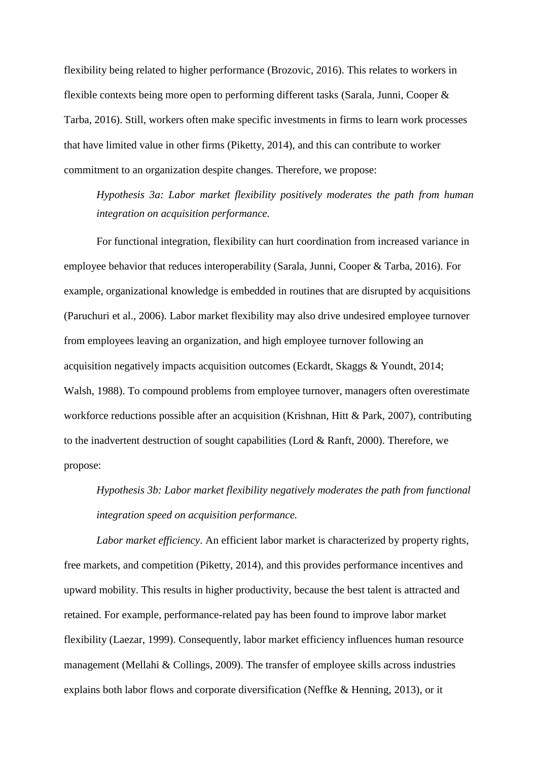flexibility being related to higher performance (Brozovic, 2016). This relates to workers in flexible contexts being more open to performing different tasks (Sarala, Junni, Cooper & Tarba, 2016). Still, workers often make specific investments in firms to learn work processes that have limited value in other firms (Piketty, 2014), and this can contribute to worker commitment to an organization despite changes. Therefore, we propose:

*Hypothesis 3a: Labor market flexibility positively moderates the path from human integration on acquisition performance.*

For functional integration, flexibility can hurt coordination from increased variance in employee behavior that reduces interoperability (Sarala, Junni, Cooper & Tarba, 2016). For example, organizational knowledge is embedded in routines that are disrupted by acquisitions (Paruchuri et al., 2006). Labor market flexibility may also drive undesired employee turnover from employees leaving an organization, and high employee turnover following an acquisition negatively impacts acquisition outcomes (Eckardt, Skaggs & Youndt, 2014; Walsh, 1988). To compound problems from employee turnover, managers often overestimate workforce reductions possible after an acquisition (Krishnan, Hitt & Park, 2007), contributing to the inadvertent destruction of sought capabilities (Lord & Ranft, 2000). Therefore, we propose:

*Hypothesis 3b: Labor market flexibility negatively moderates the path from functional integration speed on acquisition performance.*

*Labor market efficiency*. An efficient labor market is characterized by property rights, free markets, and competition (Piketty, 2014), and this provides performance incentives and upward mobility. This results in higher productivity, because the best talent is attracted and retained. For example, performance-related pay has been found to improve labor market flexibility (Laezar, 1999). Consequently, labor market efficiency influences human resource management (Mellahi & Collings, 2009). The transfer of employee skills across industries explains both labor flows and corporate diversification (Neffke & Henning, 2013), or it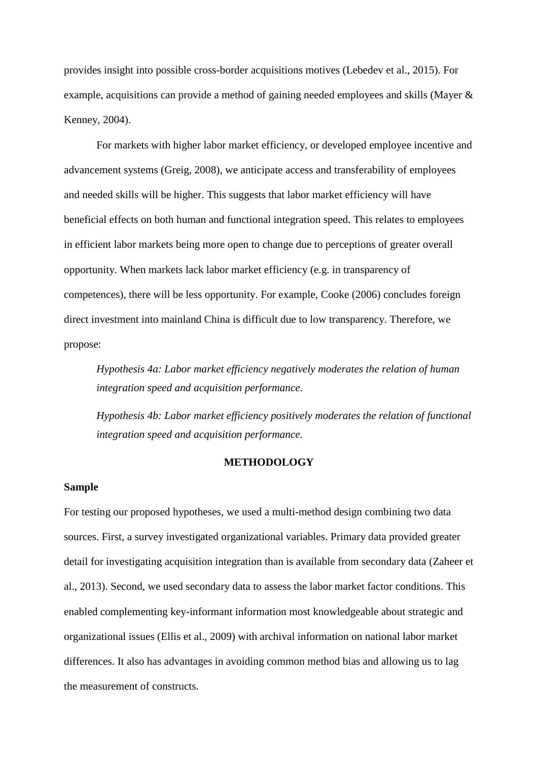provides insight into possible cross-border acquisitions motives (Lebedev et al., 2015). For example, acquisitions can provide a method of gaining needed employees and skills (Mayer & Kenney, 2004).

For markets with higher labor market efficiency, or developed employee incentive and advancement systems (Greig, 2008), we anticipate access and transferability of employees and needed skills will be higher. This suggests that labor market efficiency will have beneficial effects on both human and functional integration speed. This relates to employees in efficient labor markets being more open to change due to perceptions of greater overall opportunity. When markets lack labor market efficiency (e.g. in transparency of competences), there will be less opportunity. For example, Cooke (2006) concludes foreign direct investment into mainland China is difficult due to low transparency. Therefore, we propose:

*Hypothesis 4a: Labor market efficiency negatively moderates the relation of human integration speed and acquisition performance.*

*Hypothesis 4b: Labor market efficiency positively moderates the relation of functional integration speed and acquisition performance.*

## **METHODOLOGY**

## **Sample**

For testing our proposed hypotheses, we used a multi-method design combining two data sources. First, a survey investigated organizational variables. Primary data provided greater detail for investigating acquisition integration than is available from secondary data (Zaheer et al., 2013). Second, we used secondary data to assess the labor market factor conditions. This enabled complementing key-informant information most knowledgeable about strategic and organizational issues (Ellis et al., 2009) with archival information on national labor market differences. It also has advantages in avoiding common method bias and allowing us to lag the measurement of constructs.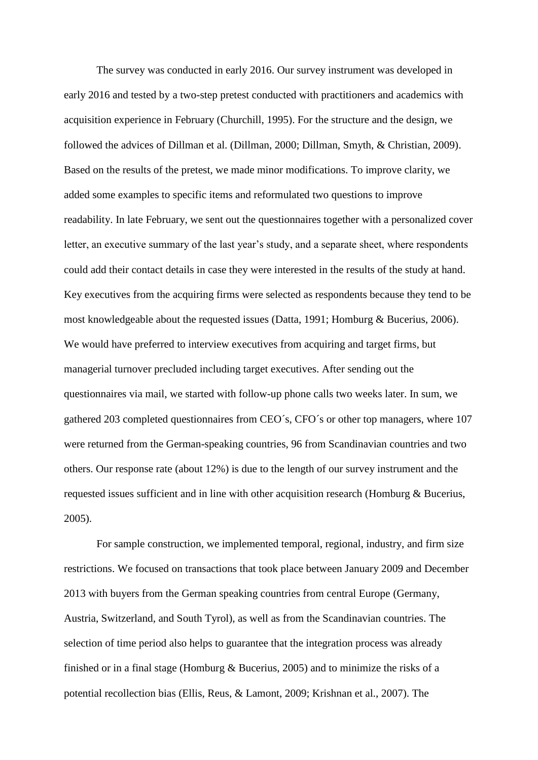The survey was conducted in early 2016. Our survey instrument was developed in early 2016 and tested by a two-step pretest conducted with practitioners and academics with acquisition experience in February (Churchill, 1995). For the structure and the design, we followed the advices of Dillman et al. (Dillman, 2000; Dillman, Smyth, & Christian, 2009). Based on the results of the pretest, we made minor modifications. To improve clarity, we added some examples to specific items and reformulated two questions to improve readability. In late February, we sent out the questionnaires together with a personalized cover letter, an executive summary of the last year's study, and a separate sheet, where respondents could add their contact details in case they were interested in the results of the study at hand. Key executives from the acquiring firms were selected as respondents because they tend to be most knowledgeable about the requested issues (Datta, 1991; Homburg & Bucerius, 2006). We would have preferred to interview executives from acquiring and target firms, but managerial turnover precluded including target executives. After sending out the questionnaires via mail, we started with follow-up phone calls two weeks later. In sum, we gathered 203 completed questionnaires from CEO´s, CFO´s or other top managers, where 107 were returned from the German-speaking countries, 96 from Scandinavian countries and two others. Our response rate (about 12%) is due to the length of our survey instrument and the requested issues sufficient and in line with other acquisition research (Homburg & Bucerius, 2005).

For sample construction, we implemented temporal, regional, industry, and firm size restrictions. We focused on transactions that took place between January 2009 and December 2013 with buyers from the German speaking countries from central Europe (Germany, Austria, Switzerland, and South Tyrol), as well as from the Scandinavian countries. The selection of time period also helps to guarantee that the integration process was already finished or in a final stage (Homburg & Bucerius, 2005) and to minimize the risks of a potential recollection bias (Ellis, Reus, & Lamont, 2009; Krishnan et al., 2007). The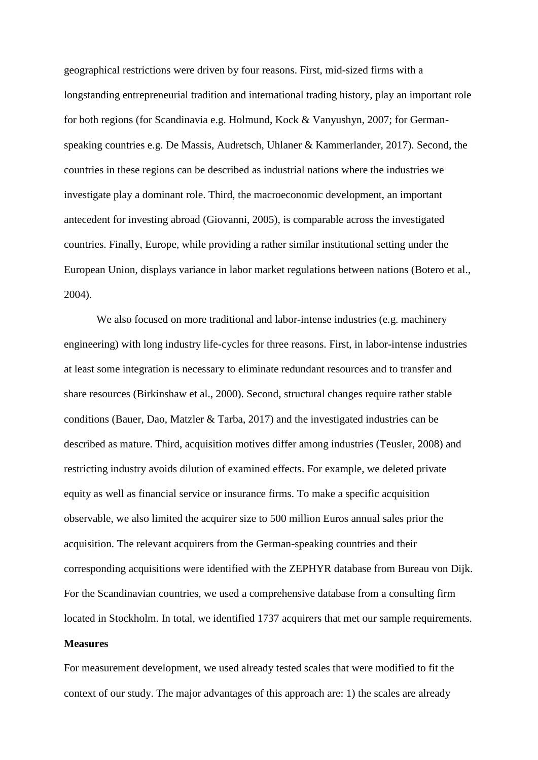geographical restrictions were driven by four reasons. First, mid-sized firms with a longstanding entrepreneurial tradition and international trading history, play an important role for both regions (for Scandinavia e.g. Holmund, Kock & Vanyushyn, 2007; for Germanspeaking countries e.g. De Massis, Audretsch, Uhlaner & Kammerlander, 2017). Second, the countries in these regions can be described as industrial nations where the industries we investigate play a dominant role. Third, the macroeconomic development, an important antecedent for investing abroad (Giovanni, 2005), is comparable across the investigated countries. Finally, Europe, while providing a rather similar institutional setting under the European Union, displays variance in labor market regulations between nations (Botero et al., 2004).

We also focused on more traditional and labor-intense industries (e.g. machinery engineering) with long industry life-cycles for three reasons. First, in labor-intense industries at least some integration is necessary to eliminate redundant resources and to transfer and share resources (Birkinshaw et al., 2000). Second, structural changes require rather stable conditions (Bauer, Dao, Matzler & Tarba, 2017) and the investigated industries can be described as mature. Third, acquisition motives differ among industries (Teusler, 2008) and restricting industry avoids dilution of examined effects. For example, we deleted private equity as well as financial service or insurance firms. To make a specific acquisition observable, we also limited the acquirer size to 500 million Euros annual sales prior the acquisition. The relevant acquirers from the German-speaking countries and their corresponding acquisitions were identified with the ZEPHYR database from Bureau von Dijk. For the Scandinavian countries, we used a comprehensive database from a consulting firm located in Stockholm. In total, we identified 1737 acquirers that met our sample requirements.

## **Measures**

For measurement development, we used already tested scales that were modified to fit the context of our study. The major advantages of this approach are: 1) the scales are already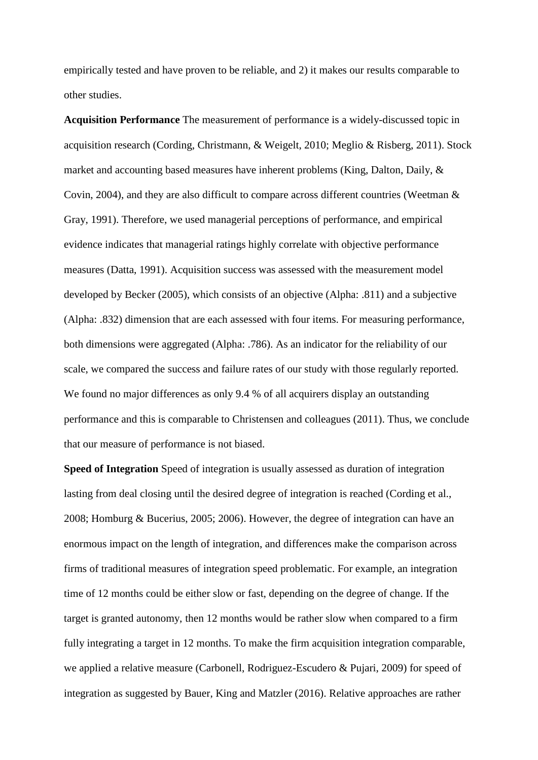empirically tested and have proven to be reliable, and 2) it makes our results comparable to other studies.

**Acquisition Performance** The measurement of performance is a widely-discussed topic in acquisition research (Cording, Christmann, & Weigelt, 2010; Meglio & Risberg, 2011). Stock market and accounting based measures have inherent problems (King, Dalton, Daily, & Covin, 2004), and they are also difficult to compare across different countries (Weetman & Gray, 1991). Therefore, we used managerial perceptions of performance, and empirical evidence indicates that managerial ratings highly correlate with objective performance measures (Datta, 1991). Acquisition success was assessed with the measurement model developed by Becker (2005), which consists of an objective (Alpha: .811) and a subjective (Alpha: .832) dimension that are each assessed with four items. For measuring performance, both dimensions were aggregated (Alpha: .786). As an indicator for the reliability of our scale, we compared the success and failure rates of our study with those regularly reported. We found no major differences as only 9.4 % of all acquirers display an outstanding performance and this is comparable to Christensen and colleagues (2011). Thus, we conclude that our measure of performance is not biased.

**Speed of Integration** Speed of integration is usually assessed as duration of integration lasting from deal closing until the desired degree of integration is reached (Cording et al., 2008; Homburg & Bucerius, 2005; 2006). However, the degree of integration can have an enormous impact on the length of integration, and differences make the comparison across firms of traditional measures of integration speed problematic. For example, an integration time of 12 months could be either slow or fast, depending on the degree of change. If the target is granted autonomy, then 12 months would be rather slow when compared to a firm fully integrating a target in 12 months. To make the firm acquisition integration comparable, we applied a relative measure (Carbonell, Rodriguez-Escudero & Pujari, 2009) for speed of integration as suggested by Bauer, King and Matzler (2016). Relative approaches are rather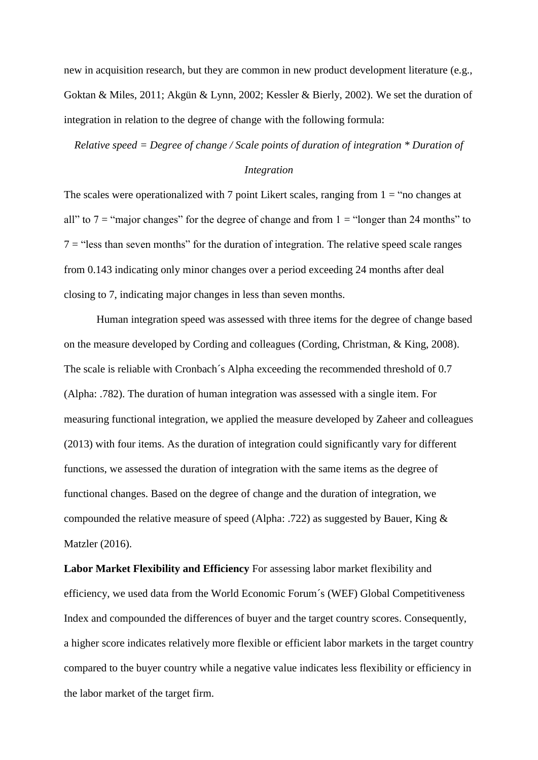new in acquisition research, but they are common in new product development literature (e.g., Goktan & Miles, 2011; Akgün & Lynn, 2002; Kessler & Bierly, 2002). We set the duration of integration in relation to the degree of change with the following formula:

*Relative speed = Degree of change / Scale points of duration of integration \* Duration of* 

### *Integration*

The scales were operationalized with 7 point Likert scales, ranging from  $1 =$  "no changes at all" to  $7 =$  "major changes" for the degree of change and from  $1 =$  "longer than 24 months" to  $7 =$  "less than seven months" for the duration of integration. The relative speed scale ranges from 0.143 indicating only minor changes over a period exceeding 24 months after deal closing to 7, indicating major changes in less than seven months.

Human integration speed was assessed with three items for the degree of change based on the measure developed by Cording and colleagues (Cording, Christman, & King, 2008). The scale is reliable with Cronbach´s Alpha exceeding the recommended threshold of 0.7 (Alpha: .782). The duration of human integration was assessed with a single item. For measuring functional integration, we applied the measure developed by Zaheer and colleagues (2013) with four items. As the duration of integration could significantly vary for different functions, we assessed the duration of integration with the same items as the degree of functional changes. Based on the degree of change and the duration of integration, we compounded the relative measure of speed (Alpha: .722) as suggested by Bauer, King & Matzler (2016).

**Labor Market Flexibility and Efficiency** For assessing labor market flexibility and efficiency, we used data from the World Economic Forum´s (WEF) Global Competitiveness Index and compounded the differences of buyer and the target country scores. Consequently, a higher score indicates relatively more flexible or efficient labor markets in the target country compared to the buyer country while a negative value indicates less flexibility or efficiency in the labor market of the target firm.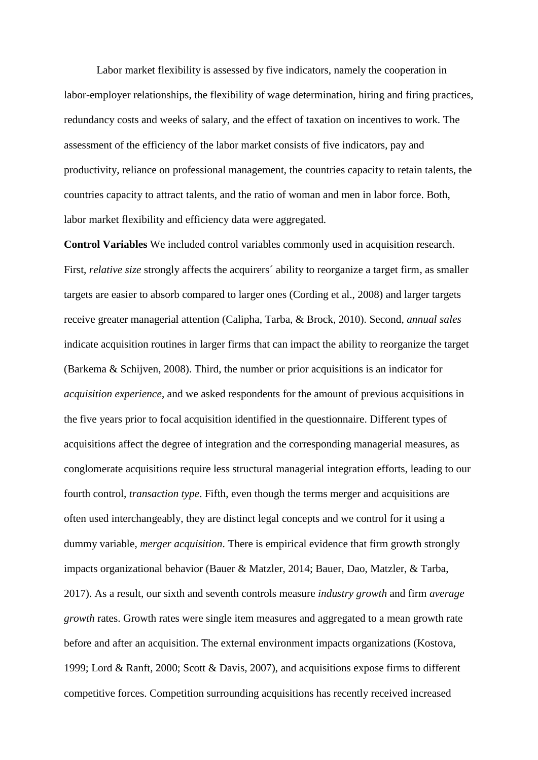Labor market flexibility is assessed by five indicators, namely the cooperation in labor-employer relationships, the flexibility of wage determination, hiring and firing practices, redundancy costs and weeks of salary, and the effect of taxation on incentives to work. The assessment of the efficiency of the labor market consists of five indicators, pay and productivity, reliance on professional management, the countries capacity to retain talents, the countries capacity to attract talents, and the ratio of woman and men in labor force. Both, labor market flexibility and efficiency data were aggregated.

**Control Variables** We included control variables commonly used in acquisition research. First, *relative size* strongly affects the acquirers´ ability to reorganize a target firm, as smaller targets are easier to absorb compared to larger ones (Cording et al., 2008) and larger targets receive greater managerial attention (Calipha, Tarba, & Brock, 2010). Second, *annual sales* indicate acquisition routines in larger firms that can impact the ability to reorganize the target (Barkema & Schijven, 2008). Third, the number or prior acquisitions is an indicator for *acquisition experience*, and we asked respondents for the amount of previous acquisitions in the five years prior to focal acquisition identified in the questionnaire. Different types of acquisitions affect the degree of integration and the corresponding managerial measures, as conglomerate acquisitions require less structural managerial integration efforts, leading to our fourth control, *transaction type*. Fifth, even though the terms merger and acquisitions are often used interchangeably, they are distinct legal concepts and we control for it using a dummy variable, *merger acquisition*. There is empirical evidence that firm growth strongly impacts organizational behavior (Bauer & Matzler, 2014; Bauer, Dao, Matzler, & Tarba, 2017). As a result, our sixth and seventh controls measure *industry growth* and firm *average growth* rates. Growth rates were single item measures and aggregated to a mean growth rate before and after an acquisition. The external environment impacts organizations (Kostova, 1999; Lord & Ranft, 2000; Scott & Davis, 2007), and acquisitions expose firms to different competitive forces. Competition surrounding acquisitions has recently received increased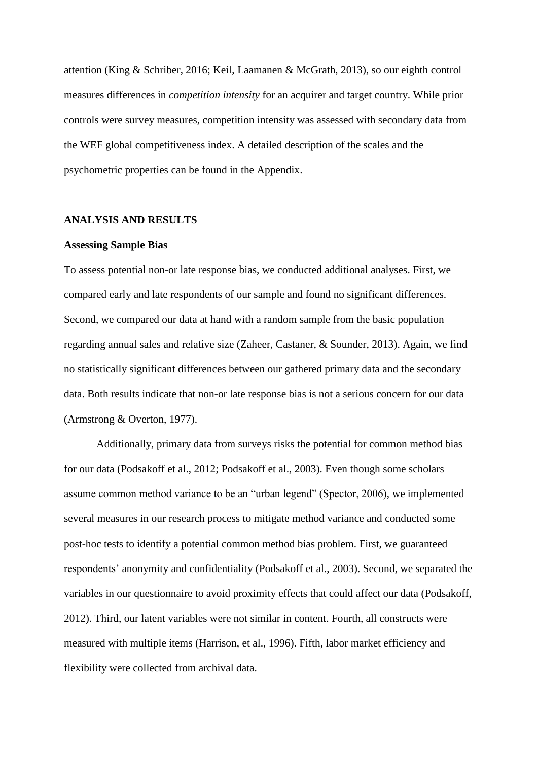attention (King & Schriber, 2016; Keil, Laamanen & McGrath, 2013), so our eighth control measures differences in *competition intensity* for an acquirer and target country. While prior controls were survey measures, competition intensity was assessed with secondary data from the WEF global competitiveness index. A detailed description of the scales and the psychometric properties can be found in the Appendix.

### **ANALYSIS AND RESULTS**

#### **Assessing Sample Bias**

To assess potential non-or late response bias, we conducted additional analyses. First, we compared early and late respondents of our sample and found no significant differences. Second, we compared our data at hand with a random sample from the basic population regarding annual sales and relative size (Zaheer, Castaner, & Sounder, 2013). Again, we find no statistically significant differences between our gathered primary data and the secondary data. Both results indicate that non-or late response bias is not a serious concern for our data (Armstrong & Overton, 1977).

Additionally, primary data from surveys risks the potential for common method bias for our data (Podsakoff et al., 2012; Podsakoff et al., 2003). Even though some scholars assume common method variance to be an "urban legend" (Spector, 2006), we implemented several measures in our research process to mitigate method variance and conducted some post-hoc tests to identify a potential common method bias problem. First, we guaranteed respondents' anonymity and confidentiality (Podsakoff et al., 2003). Second, we separated the variables in our questionnaire to avoid proximity effects that could affect our data (Podsakoff, 2012). Third, our latent variables were not similar in content. Fourth, all constructs were measured with multiple items (Harrison, et al., 1996). Fifth, labor market efficiency and flexibility were collected from archival data.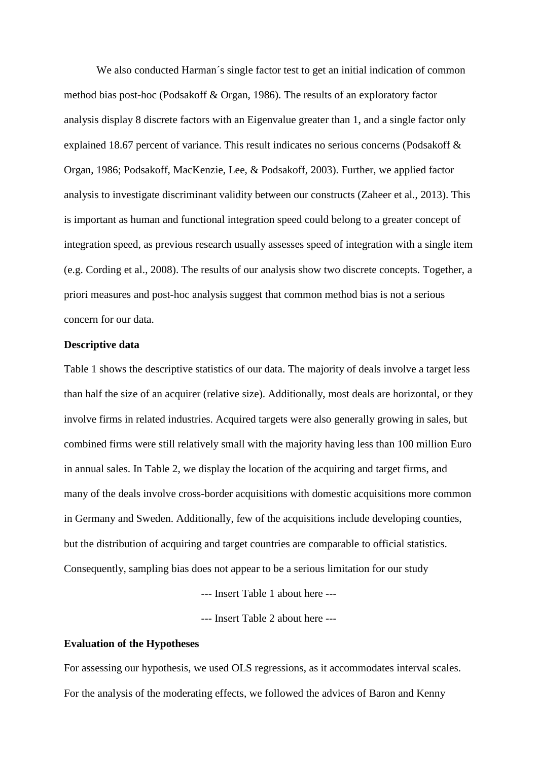We also conducted Harman's single factor test to get an initial indication of common method bias post-hoc (Podsakoff & Organ, 1986). The results of an exploratory factor analysis display 8 discrete factors with an Eigenvalue greater than 1, and a single factor only explained 18.67 percent of variance. This result indicates no serious concerns (Podsakoff & Organ, 1986; Podsakoff, MacKenzie, Lee, & Podsakoff, 2003). Further, we applied factor analysis to investigate discriminant validity between our constructs (Zaheer et al., 2013). This is important as human and functional integration speed could belong to a greater concept of integration speed, as previous research usually assesses speed of integration with a single item (e.g. Cording et al., 2008). The results of our analysis show two discrete concepts. Together, a priori measures and post-hoc analysis suggest that common method bias is not a serious concern for our data.

## **Descriptive data**

Table 1 shows the descriptive statistics of our data. The majority of deals involve a target less than half the size of an acquirer (relative size). Additionally, most deals are horizontal, or they involve firms in related industries. Acquired targets were also generally growing in sales, but combined firms were still relatively small with the majority having less than 100 million Euro in annual sales. In Table 2, we display the location of the acquiring and target firms, and many of the deals involve cross-border acquisitions with domestic acquisitions more common in Germany and Sweden. Additionally, few of the acquisitions include developing counties, but the distribution of acquiring and target countries are comparable to official statistics. Consequently, sampling bias does not appear to be a serious limitation for our study

--- Insert Table 1 about here ---

--- Insert Table 2 about here ---

## **Evaluation of the Hypotheses**

For assessing our hypothesis, we used OLS regressions, as it accommodates interval scales. For the analysis of the moderating effects, we followed the advices of Baron and Kenny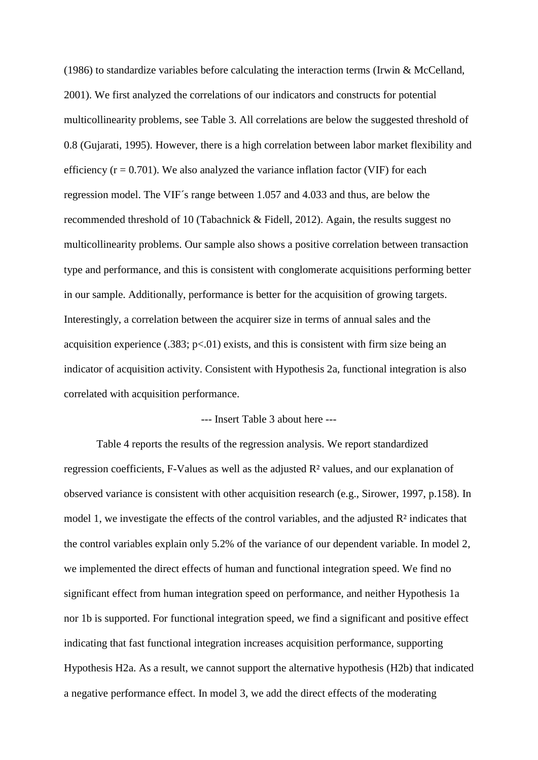(1986) to standardize variables before calculating the interaction terms (Irwin & McCelland, 2001). We first analyzed the correlations of our indicators and constructs for potential multicollinearity problems, see Table 3. All correlations are below the suggested threshold of 0.8 (Gujarati, 1995). However, there is a high correlation between labor market flexibility and efficiency  $(r = 0.701)$ . We also analyzed the variance inflation factor (VIF) for each regression model. The VIF´s range between 1.057 and 4.033 and thus, are below the recommended threshold of 10 (Tabachnick & Fidell, 2012). Again, the results suggest no multicollinearity problems. Our sample also shows a positive correlation between transaction type and performance, and this is consistent with conglomerate acquisitions performing better in our sample. Additionally, performance is better for the acquisition of growing targets. Interestingly, a correlation between the acquirer size in terms of annual sales and the acquisition experience  $(.383; p<.01)$  exists, and this is consistent with firm size being an indicator of acquisition activity. Consistent with Hypothesis 2a, functional integration is also correlated with acquisition performance.

## --- Insert Table 3 about here ---

Table 4 reports the results of the regression analysis. We report standardized regression coefficients, F-Values as well as the adjusted R² values, and our explanation of observed variance is consistent with other acquisition research (e.g., Sirower, 1997, p.158). In model 1, we investigate the effects of the control variables, and the adjusted  $\mathbb{R}^2$  indicates that the control variables explain only 5.2% of the variance of our dependent variable. In model 2, we implemented the direct effects of human and functional integration speed. We find no significant effect from human integration speed on performance, and neither Hypothesis 1a nor 1b is supported. For functional integration speed, we find a significant and positive effect indicating that fast functional integration increases acquisition performance, supporting Hypothesis H2a. As a result, we cannot support the alternative hypothesis (H2b) that indicated a negative performance effect. In model 3, we add the direct effects of the moderating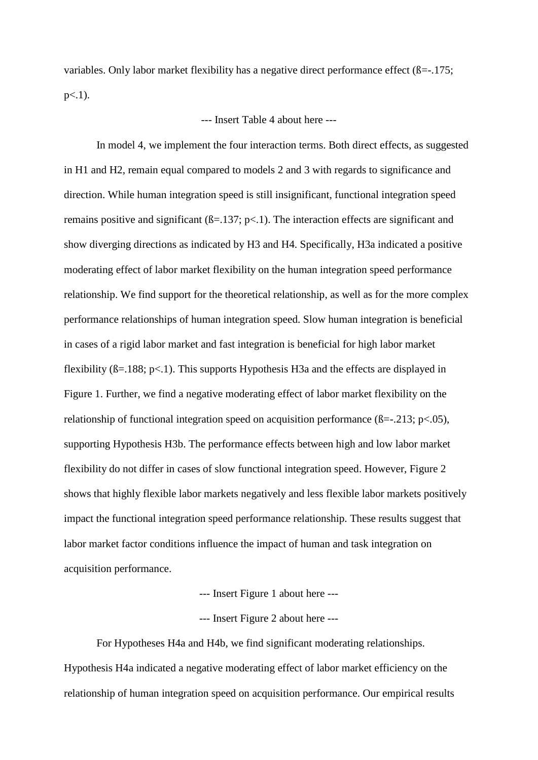variables. Only labor market flexibility has a negative direct performance effect ( $\beta$ =-.175;  $p<.1$ ).

--- Insert Table 4 about here ---

In model 4, we implement the four interaction terms. Both direct effects, as suggested in H1 and H2, remain equal compared to models 2 and 3 with regards to significance and direction. While human integration speed is still insignificant, functional integration speed remains positive and significant  $(\beta = 137; \, \text{p} < 1)$ . The interaction effects are significant and show diverging directions as indicated by H3 and H4. Specifically, H3a indicated a positive moderating effect of labor market flexibility on the human integration speed performance relationship. We find support for the theoretical relationship, as well as for the more complex performance relationships of human integration speed. Slow human integration is beneficial in cases of a rigid labor market and fast integration is beneficial for high labor market flexibility  $(\beta = 188; \text{ p} < 1)$ . This supports Hypothesis H3a and the effects are displayed in Figure 1. Further, we find a negative moderating effect of labor market flexibility on the relationship of functional integration speed on acquisition performance ( $\beta = -0.213$ ; p<.05), supporting Hypothesis H3b. The performance effects between high and low labor market flexibility do not differ in cases of slow functional integration speed. However, Figure 2 shows that highly flexible labor markets negatively and less flexible labor markets positively impact the functional integration speed performance relationship. These results suggest that labor market factor conditions influence the impact of human and task integration on acquisition performance.

--- Insert Figure 1 about here ---

--- Insert Figure 2 about here ---

For Hypotheses H4a and H4b, we find significant moderating relationships. Hypothesis H4a indicated a negative moderating effect of labor market efficiency on the relationship of human integration speed on acquisition performance. Our empirical results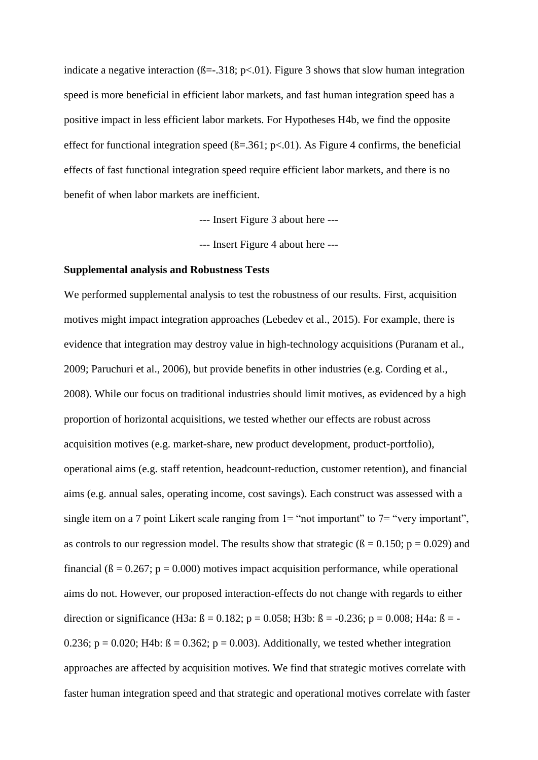indicate a negative interaction ( $\beta = -0.318$ ; p<0.01). Figure 3 shows that slow human integration speed is more beneficial in efficient labor markets, and fast human integration speed has a positive impact in less efficient labor markets. For Hypotheses H4b, we find the opposite effect for functional integration speed  $(\beta = .361; p < .01)$ . As Figure 4 confirms, the beneficial effects of fast functional integration speed require efficient labor markets, and there is no benefit of when labor markets are inefficient.

--- Insert Figure 3 about here ---

--- Insert Figure 4 about here ---

## **Supplemental analysis and Robustness Tests**

We performed supplemental analysis to test the robustness of our results. First, acquisition motives might impact integration approaches (Lebedev et al., 2015). For example, there is evidence that integration may destroy value in high-technology acquisitions (Puranam et al., 2009; Paruchuri et al., 2006), but provide benefits in other industries (e.g. Cording et al., 2008). While our focus on traditional industries should limit motives, as evidenced by a high proportion of horizontal acquisitions, we tested whether our effects are robust across acquisition motives (e.g. market-share, new product development, product-portfolio), operational aims (e.g. staff retention, headcount-reduction, customer retention), and financial aims (e.g. annual sales, operating income, cost savings). Each construct was assessed with a single item on a 7 point Likert scale ranging from  $1 =$  "not important" to  $7 =$  "very important", as controls to our regression model. The results show that strategic ( $\beta = 0.150$ ;  $p = 0.029$ ) and financial ( $\beta = 0.267$ ;  $p = 0.000$ ) motives impact acquisition performance, while operational aims do not. However, our proposed interaction-effects do not change with regards to either direction or significance (H3a:  $\beta = 0.182$ ; p = 0.058; H3b:  $\beta = -0.236$ ; p = 0.008; H4a:  $\beta = -$ 0.236;  $p = 0.020$ ; H4b:  $\beta = 0.362$ ;  $p = 0.003$ ). Additionally, we tested whether integration approaches are affected by acquisition motives. We find that strategic motives correlate with faster human integration speed and that strategic and operational motives correlate with faster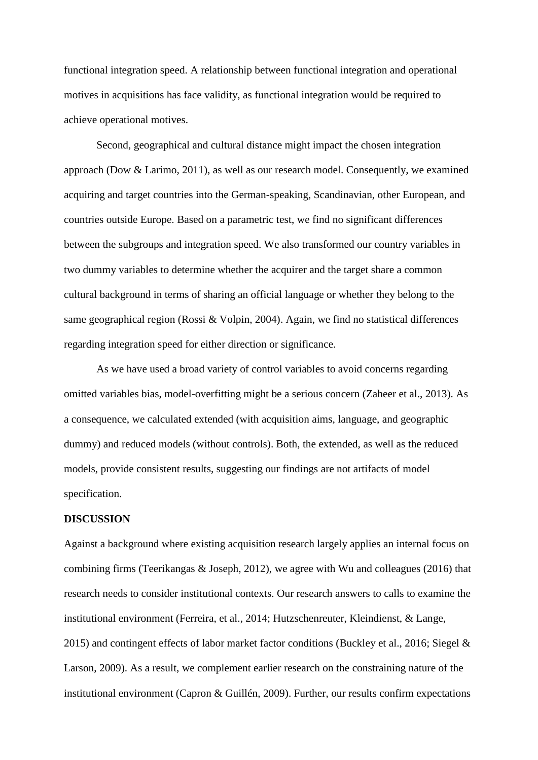functional integration speed. A relationship between functional integration and operational motives in acquisitions has face validity, as functional integration would be required to achieve operational motives.

Second, geographical and cultural distance might impact the chosen integration approach (Dow & Larimo, 2011), as well as our research model. Consequently, we examined acquiring and target countries into the German-speaking, Scandinavian, other European, and countries outside Europe. Based on a parametric test, we find no significant differences between the subgroups and integration speed. We also transformed our country variables in two dummy variables to determine whether the acquirer and the target share a common cultural background in terms of sharing an official language or whether they belong to the same geographical region (Rossi & Volpin, 2004). Again, we find no statistical differences regarding integration speed for either direction or significance.

As we have used a broad variety of control variables to avoid concerns regarding omitted variables bias, model-overfitting might be a serious concern (Zaheer et al., 2013). As a consequence, we calculated extended (with acquisition aims, language, and geographic dummy) and reduced models (without controls). Both, the extended, as well as the reduced models, provide consistent results, suggesting our findings are not artifacts of model specification.

## **DISCUSSION**

Against a background where existing acquisition research largely applies an internal focus on combining firms (Teerikangas & Joseph, 2012), we agree with Wu and colleagues (2016) that research needs to consider institutional contexts. Our research answers to calls to examine the institutional environment (Ferreira, et al., 2014; Hutzschenreuter, Kleindienst, & Lange, 2015) and contingent effects of labor market factor conditions (Buckley et al., 2016; Siegel & Larson, 2009). As a result, we complement earlier research on the constraining nature of the institutional environment (Capron & Guillén, 2009). Further, our results confirm expectations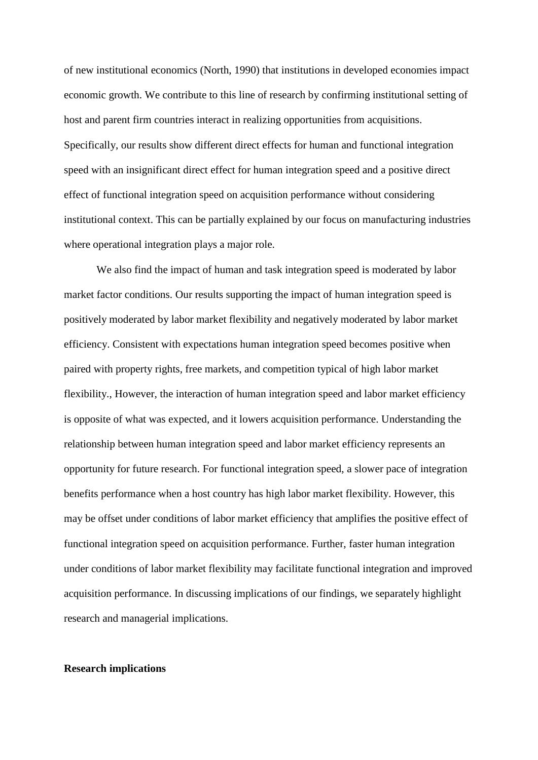of new institutional economics (North, 1990) that institutions in developed economies impact economic growth. We contribute to this line of research by confirming institutional setting of host and parent firm countries interact in realizing opportunities from acquisitions. Specifically, our results show different direct effects for human and functional integration speed with an insignificant direct effect for human integration speed and a positive direct effect of functional integration speed on acquisition performance without considering institutional context. This can be partially explained by our focus on manufacturing industries where operational integration plays a major role.

We also find the impact of human and task integration speed is moderated by labor market factor conditions. Our results supporting the impact of human integration speed is positively moderated by labor market flexibility and negatively moderated by labor market efficiency. Consistent with expectations human integration speed becomes positive when paired with property rights, free markets, and competition typical of high labor market flexibility., However, the interaction of human integration speed and labor market efficiency is opposite of what was expected, and it lowers acquisition performance. Understanding the relationship between human integration speed and labor market efficiency represents an opportunity for future research. For functional integration speed, a slower pace of integration benefits performance when a host country has high labor market flexibility. However, this may be offset under conditions of labor market efficiency that amplifies the positive effect of functional integration speed on acquisition performance. Further, faster human integration under conditions of labor market flexibility may facilitate functional integration and improved acquisition performance. In discussing implications of our findings, we separately highlight research and managerial implications.

## **Research implications**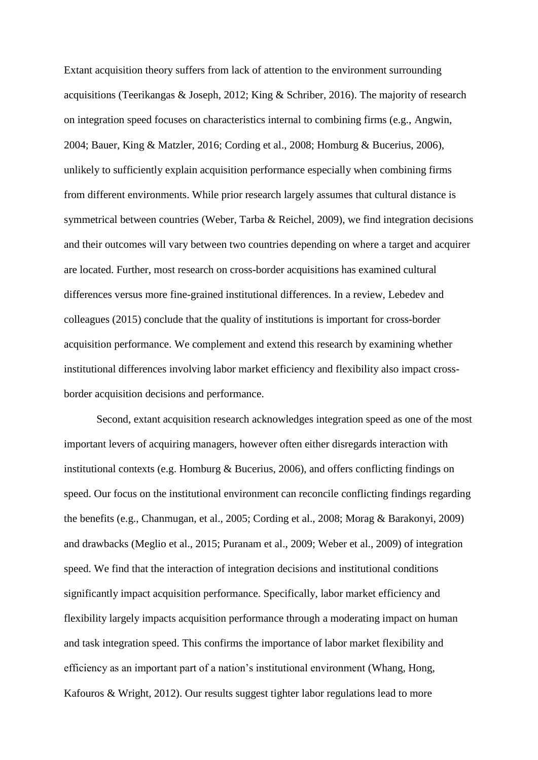Extant acquisition theory suffers from lack of attention to the environment surrounding acquisitions (Teerikangas & Joseph, 2012; King & Schriber, 2016). The majority of research on integration speed focuses on characteristics internal to combining firms (e.g., Angwin, 2004; Bauer, King & Matzler, 2016; Cording et al., 2008; Homburg & Bucerius, 2006), unlikely to sufficiently explain acquisition performance especially when combining firms from different environments. While prior research largely assumes that cultural distance is symmetrical between countries (Weber, Tarba & Reichel, 2009), we find integration decisions and their outcomes will vary between two countries depending on where a target and acquirer are located. Further, most research on cross-border acquisitions has examined cultural differences versus more fine-grained institutional differences. In a review, Lebedev and colleagues (2015) conclude that the quality of institutions is important for cross-border acquisition performance. We complement and extend this research by examining whether institutional differences involving labor market efficiency and flexibility also impact crossborder acquisition decisions and performance.

Second, extant acquisition research acknowledges integration speed as one of the most important levers of acquiring managers, however often either disregards interaction with institutional contexts (e.g. Homburg & Bucerius, 2006), and offers conflicting findings on speed. Our focus on the institutional environment can reconcile conflicting findings regarding the benefits (e.g., Chanmugan, et al., 2005; Cording et al., 2008; Morag & Barakonyi, 2009) and drawbacks (Meglio et al., 2015; Puranam et al., 2009; Weber et al., 2009) of integration speed. We find that the interaction of integration decisions and institutional conditions significantly impact acquisition performance. Specifically, labor market efficiency and flexibility largely impacts acquisition performance through a moderating impact on human and task integration speed. This confirms the importance of labor market flexibility and efficiency as an important part of a nation's institutional environment (Whang, Hong, Kafouros & Wright, 2012). Our results suggest tighter labor regulations lead to more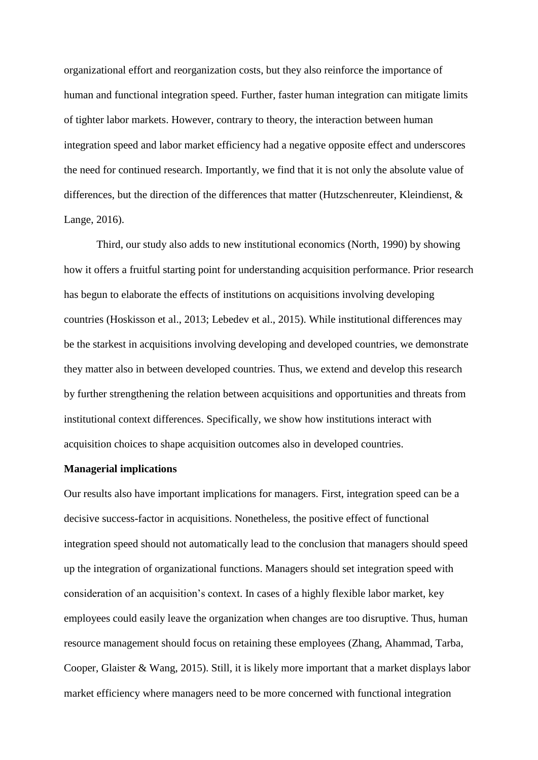organizational effort and reorganization costs, but they also reinforce the importance of human and functional integration speed. Further, faster human integration can mitigate limits of tighter labor markets. However, contrary to theory, the interaction between human integration speed and labor market efficiency had a negative opposite effect and underscores the need for continued research. Importantly, we find that it is not only the absolute value of differences, but the direction of the differences that matter (Hutzschenreuter, Kleindienst, & Lange, 2016).

Third, our study also adds to new institutional economics (North, 1990) by showing how it offers a fruitful starting point for understanding acquisition performance. Prior research has begun to elaborate the effects of institutions on acquisitions involving developing countries (Hoskisson et al., 2013; Lebedev et al., 2015). While institutional differences may be the starkest in acquisitions involving developing and developed countries, we demonstrate they matter also in between developed countries. Thus, we extend and develop this research by further strengthening the relation between acquisitions and opportunities and threats from institutional context differences. Specifically, we show how institutions interact with acquisition choices to shape acquisition outcomes also in developed countries.

### **Managerial implications**

Our results also have important implications for managers. First, integration speed can be a decisive success-factor in acquisitions. Nonetheless, the positive effect of functional integration speed should not automatically lead to the conclusion that managers should speed up the integration of organizational functions. Managers should set integration speed with consideration of an acquisition's context. In cases of a highly flexible labor market, key employees could easily leave the organization when changes are too disruptive. Thus, human resource management should focus on retaining these employees (Zhang, Ahammad, Tarba, Cooper, Glaister & Wang, 2015). Still, it is likely more important that a market displays labor market efficiency where managers need to be more concerned with functional integration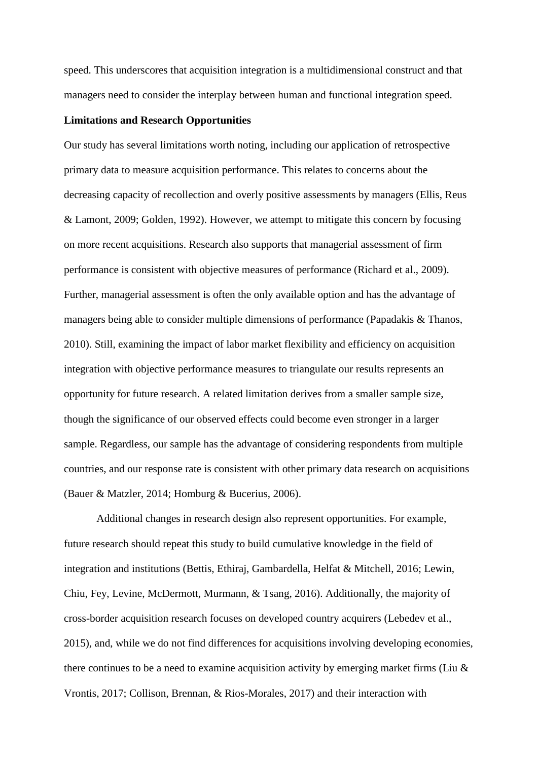speed. This underscores that acquisition integration is a multidimensional construct and that managers need to consider the interplay between human and functional integration speed.

## **Limitations and Research Opportunities**

Our study has several limitations worth noting, including our application of retrospective primary data to measure acquisition performance. This relates to concerns about the decreasing capacity of recollection and overly positive assessments by managers (Ellis, Reus & Lamont, 2009; Golden, 1992). However, we attempt to mitigate this concern by focusing on more recent acquisitions. Research also supports that managerial assessment of firm performance is consistent with objective measures of performance (Richard et al., 2009). Further, managerial assessment is often the only available option and has the advantage of managers being able to consider multiple dimensions of performance (Papadakis & Thanos, 2010). Still, examining the impact of labor market flexibility and efficiency on acquisition integration with objective performance measures to triangulate our results represents an opportunity for future research. A related limitation derives from a smaller sample size, though the significance of our observed effects could become even stronger in a larger sample. Regardless, our sample has the advantage of considering respondents from multiple countries, and our response rate is consistent with other primary data research on acquisitions (Bauer & Matzler, 2014; Homburg & Bucerius, 2006).

Additional changes in research design also represent opportunities. For example, future research should repeat this study to build cumulative knowledge in the field of integration and institutions (Bettis, Ethiraj, Gambardella, Helfat & Mitchell, 2016; Lewin, Chiu, Fey, Levine, McDermott, Murmann, & Tsang, 2016). Additionally, the majority of cross-border acquisition research focuses on developed country acquirers (Lebedev et al., 2015), and, while we do not find differences for acquisitions involving developing economies, there continues to be a need to examine acquisition activity by emerging market firms (Liu  $\&$ Vrontis, 2017; Collison, Brennan, & Rios-Morales, 2017) and their interaction with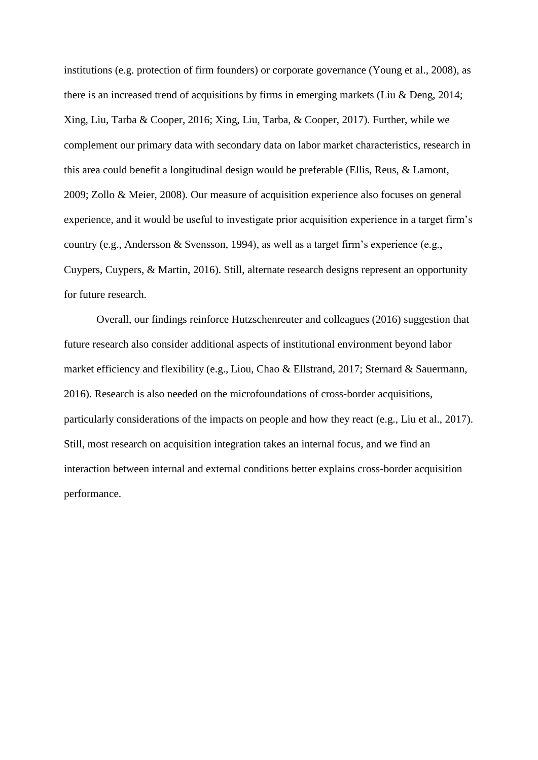institutions (e.g. protection of firm founders) or corporate governance (Young et al., 2008), as there is an increased trend of acquisitions by firms in emerging markets (Liu & Deng, 2014; Xing, Liu, Tarba & Cooper, 2016; Xing, Liu, Tarba, & Cooper, 2017). Further, while we complement our primary data with secondary data on labor market characteristics, research in this area could benefit a longitudinal design would be preferable (Ellis, Reus, & Lamont, 2009; Zollo & Meier, 2008). Our measure of acquisition experience also focuses on general experience, and it would be useful to investigate prior acquisition experience in a target firm's country (e.g., Andersson & Svensson, 1994), as well as a target firm's experience (e.g., Cuypers, Cuypers, & Martin, 2016). Still, alternate research designs represent an opportunity for future research.

Overall, our findings reinforce Hutzschenreuter and colleagues (2016) suggestion that future research also consider additional aspects of institutional environment beyond labor market efficiency and flexibility (e.g., Liou, Chao & Ellstrand, 2017; Sternard & Sauermann, 2016). Research is also needed on the microfoundations of cross-border acquisitions, particularly considerations of the impacts on people and how they react (e.g., Liu et al., 2017). Still, most research on acquisition integration takes an internal focus, and we find an interaction between internal and external conditions better explains cross-border acquisition performance.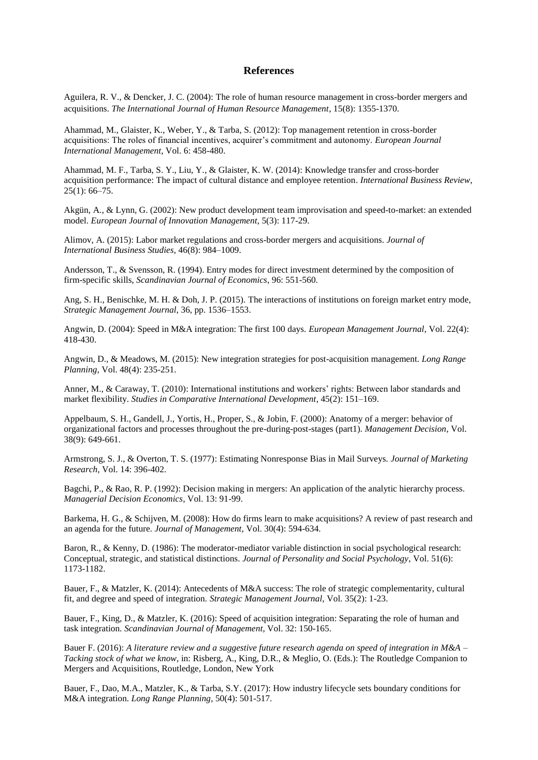#### **References**

Aguilera, R. V., & Dencker, J. C. (2004): The role of human resource management in cross-border mergers and acquisitions. *The International Journal of Human Resource Management*, 15(8): 1355-1370.

Ahammad, M., Glaister, K., Weber, Y., & Tarba, S. (2012): Top management retention in cross-border acquisitions: The roles of financial incentives, acquirer's commitment and autonomy. *European Journal International Management*, Vol. 6: 458-480.

Ahammad, M. F., Tarba, S. Y., Liu, Y., & Glaister, K. W. (2014): Knowledge transfer and cross-border acquisition performance: The impact of cultural distance and employee retention. *International Business Review*,  $25(1): 66-75.$ 

Akgün, A., & Lynn, G. (2002): New product development team improvisation and speed-to-market: an extended model. *European Journal of Innovation Management*, 5(3): 117-29.

Alimov, A. (2015): Labor market regulations and cross-border mergers and acquisitions. *Journal of International Business Studies*, 46(8): 984–1009.

Andersson, T., & Svensson, R. (1994). Entry modes for direct investment determined by the composition of firm-specific skills, *Scandinavian Journal of Economics*, 96: 551-560.

Ang, S. H., Benischke, M. H. & Doh, J. P. (2015). The interactions of institutions on foreign market entry mode, *Strategic Management Journal*, 36, pp. 1536–1553.

Angwin, D. (2004): Speed in M&A integration: The first 100 days. *European Management Journal*, Vol. 22(4): 418-430.

Angwin, D., & Meadows, M. (2015): New integration strategies for post-acquisition management. *Long Range Planning*, Vol. 48(4): 235-251.

Anner, M., & Caraway, T. (2010): International institutions and workers' rights: Between labor standards and market flexibility. *Studies in Comparative International Development*, 45(2): 151–169.

Appelbaum, S. H., Gandell, J., Yortis, H., Proper, S., & Jobin, F. (2000): Anatomy of a merger: behavior of organizational factors and processes throughout the pre-during-post-stages (part1). *Management Decision*, Vol. 38(9): 649-661.

Armstrong, S. J., & Overton, T. S. (1977): Estimating Nonresponse Bias in Mail Surveys. *Journal of Marketing Research*, Vol. 14: 396-402.

Bagchi, P., & Rao, R. P. (1992): Decision making in mergers: An application of the analytic hierarchy process. *Managerial Decision Economics*, Vol. 13: 91-99.

Barkema, H. G., & Schijven, M. (2008): How do firms learn to make acquisitions? A review of past research and an agenda for the future. *Journal of Management*, Vol. 30(4): 594-634.

Baron, R., & Kenny, D. (1986): The moderator-mediator variable distinction in social psychological research: Conceptual, strategic, and statistical distinctions. *Journal of Personality and Social Psychology*, Vol. 51(6): 1173-1182.

Bauer, F., & Matzler, K. (2014): Antecedents of M&A success: The role of strategic complementarity, cultural fit, and degree and speed of integration. *Strategic Management Journal*, Vol. 35(2): 1-23.

Bauer, F., King, D., & Matzler, K. (2016): Speed of acquisition integration: Separating the role of human and task integration. *Scandinavian Journal of Management*, Vol. 32: 150-165.

Bauer F. (2016): *A literature review and a suggestive future research agenda on speed of integration in M&A – Tacking stock of what we know*, in: Risberg, A., King, D.R., & Meglio, O. (Eds.): The Routledge Companion to Mergers and Acquisitions, Routledge, London, New York

Bauer, F., Dao, M.A., Matzler, K., & Tarba, S.Y. (2017): How industry lifecycle sets boundary conditions for M&A integration. *Long Range Planning*, 50(4): 501-517.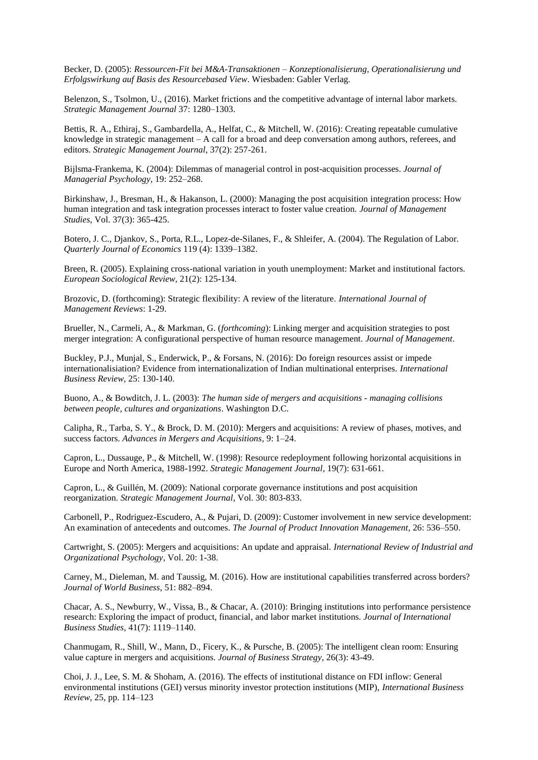Becker, D. (2005): *Ressourcen-Fit bei M&A-Transaktionen – Konzeptionalisierung, Operationalisierung und Erfolgswirkung auf Basis des Resourcebased View*. Wiesbaden: Gabler Verlag.

Belenzon, S., Tsolmon, U., (2016). Market frictions and the competitive advantage of internal labor markets. *Strategic Management Journal* 37: 1280–1303.

Bettis, R. A., Ethiraj, S., Gambardella, A., Helfat, C., & Mitchell, W. (2016): Creating repeatable cumulative knowledge in strategic management – A call for a broad and deep conversation among authors, referees, and editors. *Strategic Management Journal*, 37(2): 257-261.

Bijlsma-Frankema, K. (2004): Dilemmas of managerial control in post-acquisition processes. *Journal of Managerial Psychology*, 19: 252–268.

Birkinshaw, J., Bresman, H., & Hakanson, L. (2000): Managing the post acquisition integration process: How human integration and task integration processes interact to foster value creation. *Journal of Management Studies*, Vol. 37(3): 365-425.

Botero, J. C., Djankov, S., Porta, R.L., Lopez-de-Silanes, F., & Shleifer, A. (2004). The Regulation of Labor. *Quarterly Journal of Economics* 119 (4): 1339–1382.

Breen, R. (2005). Explaining cross-national variation in youth unemployment: Market and institutional factors. *European Sociological Review*, 21(2): 125-134.

Brozovic, D. (forthcoming): Strategic flexibility: A review of the literature. *International Journal of Management Reviews*: 1-29.

Brueller, N., Carmeli, A., & Markman, G. (*forthcoming*): Linking merger and acquisition strategies to post merger integration: A configurational perspective of human resource management. *Journal of Management*.

Buckley, P.J., Munjal, S., Enderwick, P., & Forsans, N. (2016): Do foreign resources assist or impede internationalisiation? Evidence from internationalization of Indian multinational enterprises. *International Business Review*, 25: 130-140.

Buono, A., & Bowditch, J. L. (2003): *The human side of mergers and acquisitions - managing collisions between people, cultures and organizations*. Washington D.C.

Calipha, R., Tarba, S. Y., & Brock, D. M. (2010): Mergers and acquisitions: A review of phases, motives, and success factors. *Advances in Mergers and Acquisitions*, 9: 1–24.

Capron, L., Dussauge, P., & Mitchell, W. (1998): Resource redeployment following horizontal acquisitions in Europe and North America, 1988-1992. *Strategic Management Journal*, 19(7): 631-661.

Capron, L., & Guillén, M. (2009): National corporate governance institutions and post acquisition reorganization. *Strategic Management Journal*, Vol. 30: 803-833.

Carbonell, P., Rodriguez-Escudero, A., & Pujari, D. (2009): Customer involvement in new service development: An examination of antecedents and outcomes. *The Journal of Product Innovation Management*, 26: 536–550.

Cartwright, S. (2005): Mergers and acquisitions: An update and appraisal. *International Review of Industrial and Organizational Psychology*, Vol. 20: 1-38.

Carney, M., Dieleman, M. and Taussig, M. (2016). How are institutional capabilities transferred across borders? *Journal of World Business*, 51: 882–894.

Chacar, A. S., Newburry, W., Vissa, B., & Chacar, A. (2010): Bringing institutions into performance persistence research: Exploring the impact of product, financial, and labor market institutions. *Journal of International Business Studies*, 41(7): 1119–1140.

Chanmugam, R., Shill, W., Mann, D., Ficery, K., & Pursche, B. (2005): The intelligent clean room: Ensuring value capture in mergers and acquisitions. *Journal of Business Strategy*, 26(3): 43-49.

Choi, J. J., Lee, S. M. & Shoham, A. (2016). The effects of institutional distance on FDI inflow: General environmental institutions (GEI) versus minority investor protection institutions (MIP), *International Business Review*, 25, pp. 114–123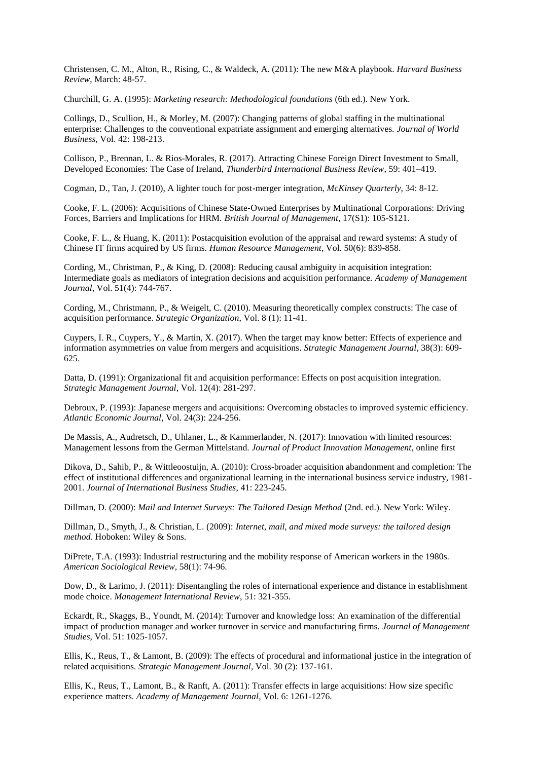Christensen, C. M., Alton, R., Rising, C., & Waldeck, A. (2011): The new M&A playbook. *Harvard Business Review*, March: 48-57.

Churchill, G. A. (1995): *Marketing research: Methodological foundations* (6th ed.). New York.

Collings, D., Scullion, H., & Morley, M. (2007): Changing patterns of global staffing in the multinational enterprise: Challenges to the conventional expatriate assignment and emerging alternatives. *Journal of World Business*, Vol. 42: 198-213.

Collison, P., Brennan, L. & Rios-Morales, R. (2017). Attracting Chinese Foreign Direct Investment to Small, Developed Economies: The Case of Ireland, *Thunderbird International Business Review*, 59: 401–419.

Cogman, D., Tan, J. (2010), A lighter touch for post-merger integration, *McKinsey Quarterly*, 34: 8-12.

Cooke, F. L. (2006): Acquisitions of Chinese State‐Owned Enterprises by Multinational Corporations: Driving Forces, Barriers and Implications for HRM. *British Journal of Management*, 17(S1): 105-S121.

Cooke, F. L., & Huang, K. (2011): Postacquisition evolution of the appraisal and reward systems: A study of Chinese IT firms acquired by US firms. *Human Resource Management*, Vol. 50(6): 839-858.

Cording, M., Christman, P., & King, D. (2008): Reducing causal ambiguity in acquisition integration: Intermediate goals as mediators of integration decisions and acquisition performance. *Academy of Management Journal*, Vol. 51(4): 744-767.

Cording, M., Christmann, P., & Weigelt, C. (2010). Measuring theoretically complex constructs: The case of acquisition performance. *Strategic Organization*, Vol. 8 (1): 11-41.

Cuypers, I. R., Cuypers, Y., & Martin, X. (2017). When the target may know better: Effects of experience and information asymmetries on value from mergers and acquisitions. *Strategic Management Journal*, 38(3): 609- 625.

Datta, D. (1991): Organizational fit and acquisition performance: Effects on post acquisition integration. *Strategic Management Journal*, Vol. 12(4): 281-297.

Debroux, P. (1993): Japanese mergers and acquisitions: Overcoming obstacles to improved systemic efficiency. *Atlantic Economic Journal*, Vol. 24(3): 224-256.

De Massis, A., Audretsch, D., Uhlaner, L., & Kammerlander, N. (2017): Innovation with limited resources: Management lessons from the German Mittelstand. *Journal of Product Innovation Management*, online first

Dikova, D., Sahib, P., & Wittleoostuijn, A. (2010): Cross-broader acquisition abandonment and completion: The effect of institutional differences and organizational learning in the international business service industry, 1981- 2001. *Journal of International Business Studies*, 41: 223-245.

Dillman, D. (2000): *Mail and Internet Surveys: The Tailored Design Method* (2nd. ed.). New York: Wiley.

Dillman, D., Smyth, J., & Christian, L. (2009): *Internet, mail, and mixed mode surveys: the tailored design method*. Hoboken: Wiley & Sons.

DiPrete, T.A. (1993): Industrial restructuring and the mobility response of American workers in the 1980s. *American Sociological Review*, 58(1): 74-96.

Dow, D., & Larimo, J. (2011): Disentangling the roles of international experience and distance in establishment mode choice. *Management International Review*, 51: 321-355.

Eckardt, R., Skaggs, B., Youndt, M. (2014): Turnover and knowledge loss: An examination of the differential impact of production manager and worker turnover in service and manufacturing firms. *Journal of Management Studies*, Vol. 51: 1025-1057.

Ellis, K., Reus, T., & Lamont, B. (2009): The effects of procedural and informational justice in the integration of related acquisitions. *Strategic Management Journal*, Vol. 30 (2): 137-161.

Ellis, K., Reus, T., Lamont, B., & Ranft, A. (2011): Transfer effects in large acquisitions: How size specific experience matters. *Academy of Management Journal*, Vol. 6: 1261-1276.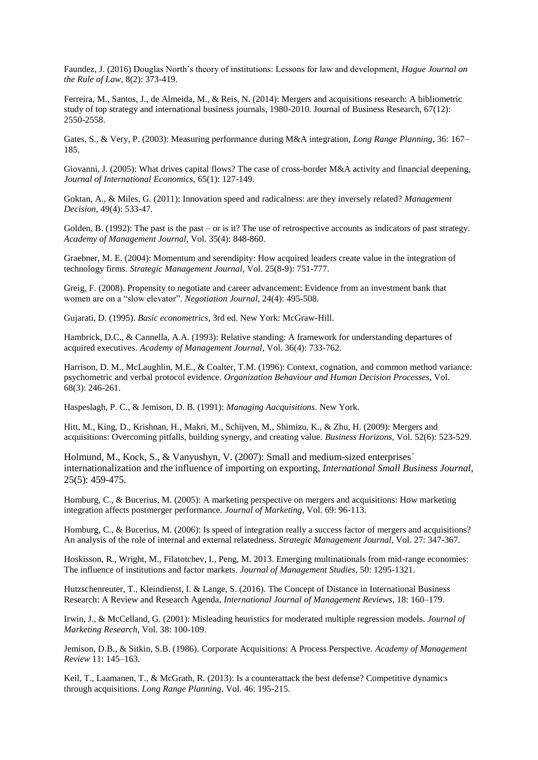Faundez, J. (2016) Douglas North's theory of institutions: Lessons for law and development, *Hague Journal on the Rule of Law*, 8(2): 373-419.

Ferreira, M., Santos, J., de Almeida, M., & Reis, N. (2014): Mergers and acquisitions research: A bibliometric study of top strategy and international business journals, 1980-2010. Journal of Business Research, 67(12): 2550-2558.

Gates, S., & Very, P. (2003): Measuring performance during M&A integration, *Long Range Planning*, 36: 167– 185.

Giovanni, J. (2005): What drives capital flows? The case of cross-border M&A activity and financial deepening, *Journal of International Economics*, 65(1): 127-149.

Goktan, A., & Miles, G. (2011): Innovation speed and radicalness: are they inversely related? *Management Decision*, 49(4): 533-47.

Golden, B. (1992): The past is the past – or is it? The use of retrospective accounts as indicators of past strategy. *Academy of Management Journal*, Vol. 35(4): 848-860.

Graebner, M. E. (2004): Momentum and serendipity: How acquired leaders create value in the integration of technology firms. *Strategic Management Journal*, Vol. 25(8-9): 751-777.

Greig, F. (2008). Propensity to negotiate and career advancement: Evidence from an investment bank that women are on a "slow elevator". *Negotiation Journal*, 24(4): 495-508.

Gujarati, D. (1995). *Basic econometrics*, 3rd ed. New York: McGraw-Hill.

Hambrick, D.C., & Cannella, A.A. (1993): Relative standing: A framework for understanding departures of acquired executives. *Academy of Management Journal*, Vol. 36(4): 733-762.

Harrison, D. M., McLaughlin, M.E., & Coalter, T.M. (1996): Context, cognation, and common method variance: psychometric and verbal protocol evidence. *Organization Behaviour and Human Decision Processes*, Vol. 68(3): 246-261.

Haspeslagh, P. C., & Jemison, D. B. (1991): *Managing Aacquisitions*. New York.

Hitt, M., King, D., Krishnan, H., Makri, M., Schijven, M., Shimizu, K., & Zhu, H. (2009): Mergers and acquisitions: Overcoming pitfalls, building synergy, and creating value. *Business Horizons*, Vol. 52(6): 523-529.

Holmund, M., Kock, S., & Vanyushyn, V. (2007): Small and medium-sized enterprises´ internationalization and the influence of importing on exporting, *International Small Business Journal*, 25(5): 459-475.

Homburg, C., & Bucerius, M. (2005): A marketing perspective on mergers and acquisitions: How marketing integration affects postmerger performance. *Journal of Marketing*, Vol. 69: 96-113.

Homburg, C., & Bucerius, M. (2006): Is speed of integration really a success factor of mergers and acquisitions? An analysis of the role of internal and external relatedness. *Strategic Management Journal*, Vol. 27: 347-367.

Hoskisson, R., Wright, M., Filatotchev, I., Peng, M. 2013. Emerging multinationals from mid-range economies: The influence of institutions and factor markets. *Journal of Management Studies*, 50: 1295-1321.

Hutzschenreuter, T., Kleindienst, I. & Lange, S. (2016). The Concept of Distance in International Business Research: A Review and Research Agenda, *International Journal of Management Reviews*, 18: 160–179.

Irwin, J., & McCelland, G. (2001): Misleading heuristics for moderated multiple regression models. *Journal of Marketing Research*, Vol. 38: 100-109.

Jemison, D.B., & Sitkin, S.B. (1986). Corporate Acquisitions: A Process Perspective. *Academy of Management Review* 11: 145–163.

Keil, T., Laamanen, T., & McGrath, R. (2013): Is a counterattack the best defense? Competitive dynamics through acquisitions. *Long Range Planning*, Vol. 46: 195-215.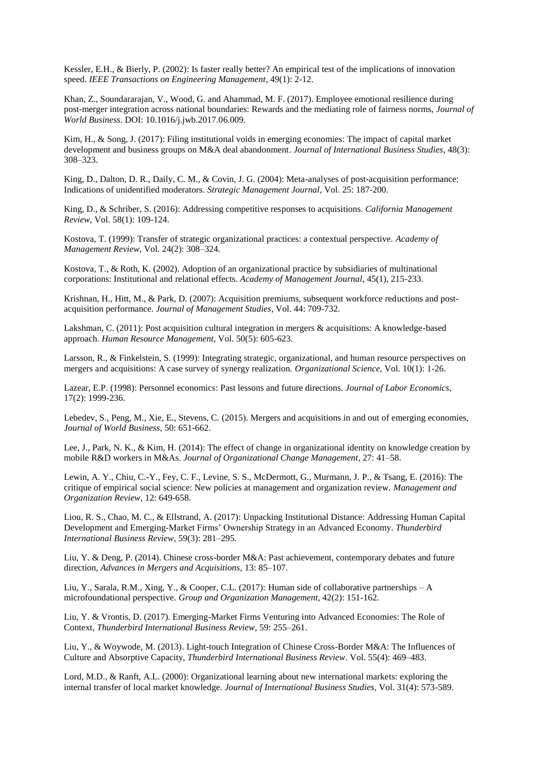Kessler, E.H., & Bierly, P. (2002): Is faster really better? An empirical test of the implications of innovation speed. *IEEE Transactions on Engineering Management*, 49(1): 2-12.

Khan, Z., Soundararajan, V., Wood, G. and Ahammad, M. F. (2017). Employee emotional resilience during post-merger integration across national boundaries: Rewards and the mediating role of fairness norms, *Journal of World Business*. DOI: 10.1016/j.jwb.2017.06.009.

Kim, H., & Song, J. (2017): Filing institutional voids in emerging economies: The impact of capital market development and business groups on M&A deal abandonment. *Journal of International Business Studies*, 48(3): 308–323.

King, D., Dalton, D. R., Daily, C. M., & Covin, J. G. (2004): Meta-analyses of post-acquisition performance: Indications of unidentified moderators. *Strategic Management Journal*, Vol. 25: 187-200.

King, D., & Schriber, S. (2016): Addressing competitive responses to acquisitions. *California Management Review*, Vol. 58(1): 109-124.

Kostova, T. (1999): Transfer of strategic organizational practices: a contextual perspective. *Academy of Management Review*, Vol. 24(2): 308–324.

Kostova, T., & Roth, K. (2002). Adoption of an organizational practice by subsidiaries of multinational corporations: Institutional and relational effects. *Academy of Management Journal*, 45(1), 215-233.

Krishnan, H., Hitt, M., & Park, D. (2007): Acquisition premiums, subsequent workforce reductions and postacquisition performance. *Journal of Management Studies*, Vol. 44: 709-732.

Lakshman, C. (2011): Post acquisition cultural integration in mergers & acquisitions: A knowledge-based approach. *Human Resource Management*, Vol. 50(5): 605-623.

Larsson, R., & Finkelstein, S. (1999): Integrating strategic, organizational, and human resource perspectives on mergers and acquisitions: A case survey of synergy realization. *Organizational Science*, Vol. 10(1): 1-26.

Lazear, E.P. (1998): Personnel economics: Past lessons and future directions. *Journal of Labor Economics*, 17(2): 1999-236.

Lebedev, S., Peng, M., Xie, E., Stevens, C. (2015). Mergers and acquisitions in and out of emerging economies, *Journal of World Business*, 50: 651-662.

Lee, J., Park, N. K., & Kim, H. (2014): The effect of change in organizational identity on knowledge creation by mobile R&D workers in M&As. *Journal of Organizational Change Management*, 27: 41–58.

Lewin, A. Y., Chiu, C.-Y., Fey, C. F., Levine, S. S., McDermott, G., Murmann, J. P., & Tsang, E. (2016): The critique of empirical social science: New policies at management and organization review. *Management and Organization Review*, 12: 649-658.

Liou, R. S., Chao, M. C., & Ellstrand, A. (2017): Unpacking Institutional Distance: Addressing Human Capital Development and Emerging-Market Firms' Ownership Strategy in an Advanced Economy. *Thunderbird International Business Review*, 59(3): 281–295.

Liu, Y. & Deng, P. (2014). Chinese cross-border M&A: Past achievement, contemporary debates and future direction, *Advances in Mergers and Acquisitions*, 13: 85–107.

Liu, Y., Sarala, R.M., Xing, Y., & Cooper, C.L. (2017): Human side of collaborative partnerships – A microfoundational perspective. *Group and Organization Management*, 42(2): 151-162.

Liu, Y. & Vrontis, D. (2017). Emerging-Market Firms Venturing into Advanced Economies: The Role of Context, *Thunderbird International Business Review*, 59: 255–261.

Liu, Y., & Woywode, M. (2013). Light-touch Integration of Chinese Cross-Border M&A: The Influences of Culture and Absorptive Capacity, *Thunderbird International Business Review*. Vol. 55(4): 469–483.

Lord, M.D., & Ranft, A.L. (2000): Organizational learning about new international markets: exploring the internal transfer of local market knowledge. *Journal of International Business Studies*, Vol. 31(4): 573-589.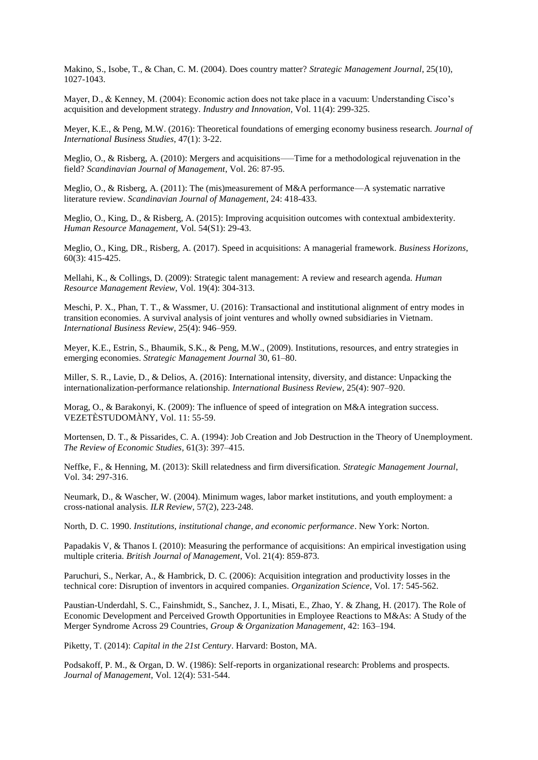Makino, S., Isobe, T., & Chan, C. M. (2004). Does country matter? *Strategic Management Journal*, 25(10), 1027-1043.

Mayer, D., & Kenney, M. (2004): Economic action does not take place in a vacuum: Understanding Cisco's acquisition and development strategy. *Industry and Innovation*, Vol. 11(4): 299-325.

Meyer, K.E., & Peng, M.W. (2016): Theoretical foundations of emerging economy business research. *Journal of International Business Studies*, 47(1): 3-22.

Meglio, O., & Risberg, A. (2010): Mergers and acquisitions–—Time for a methodological rejuvenation in the field? *Scandinavian Journal of Management*, Vol. 26: 87-95.

Meglio, O., & Risberg, A. (2011): The (mis)measurement of M&A performance—A systematic narrative literature review. *Scandinavian Journal of Management*, 24: 418-433.

Meglio, O., King, D., & Risberg, A. (2015): Improving acquisition outcomes with contextual ambidexterity. *Human Resource Management*, Vol. 54(S1): 29-43.

Meglio, O., King, DR., Risberg, A. (2017). Speed in acquisitions: A managerial framework. *Business Horizons*, 60(3): 415-425.

Mellahi, K., & Collings, D. (2009): Strategic talent management: A review and research agenda. *Human Resource Management Review*, Vol. 19(4): 304-313.

Meschi, P. X., Phan, T. T., & Wassmer, U. (2016): Transactional and institutional alignment of entry modes in transition economies. A survival analysis of joint ventures and wholly owned subsidiaries in Vietnam. *International Business Review*, 25(4): 946–959.

Meyer, K.E., Estrin, S., Bhaumik, S.K., & Peng, M.W., (2009). Institutions, resources, and entry strategies in emerging economies. *Strategic Management Journal* 30, 61–80.

Miller, S. R., Lavie, D., & Delios, A. (2016): International intensity, diversity, and distance: Unpacking the internationalization-performance relationship. *International Business Review,* 25(4): 907–920.

Morag, O., & Barakonyi, K. (2009): The influence of speed of integration on M&A integration success. VEZETÈSTUDOMÀNY, Vol. 11: 55-59.

Mortensen, D. T., & Pissarides, C. A. (1994): Job Creation and Job Destruction in the Theory of Unemployment. *The Review of Economic Studies*, 61(3): 397–415.

Neffke, F., & Henning, M. (2013): Skill relatedness and firm diversification. *Strategic Management Journal*, Vol. 34: 297-316.

Neumark, D., & Wascher, W. (2004). Minimum wages, labor market institutions, and youth employment: a cross-national analysis. *ILR Review*, 57(2), 223-248.

North, D. C. 1990. *Institutions, institutional change, and economic performance*. New York: Norton.

Papadakis V, & Thanos I. (2010): Measuring the performance of acquisitions: An empirical investigation using multiple criteria. *British Journal of Management*, Vol. 21(4): 859-873.

Paruchuri, S., Nerkar, A., & Hambrick, D. C. (2006): Acquisition integration and productivity losses in the technical core: Disruption of inventors in acquired companies*. Organization Science*, Vol. 17: 545-562.

Paustian-Underdahl, S. C., Fainshmidt, S., Sanchez, J. I., Misati, E., Zhao, Y. & Zhang, H. (2017). The Role of Economic Development and Perceived Growth Opportunities in Employee Reactions to M&As: A Study of the Merger Syndrome Across 29 Countries, *Group & Organization Management*, 42: 163–194.

Piketty, T. (2014): *Capital in the 21st Century*. Harvard: Boston, MA.

Podsakoff, P. M., & Organ, D. W. (1986): Self-reports in organizational research: Problems and prospects. *Journal of Management*, Vol. 12(4): 531-544.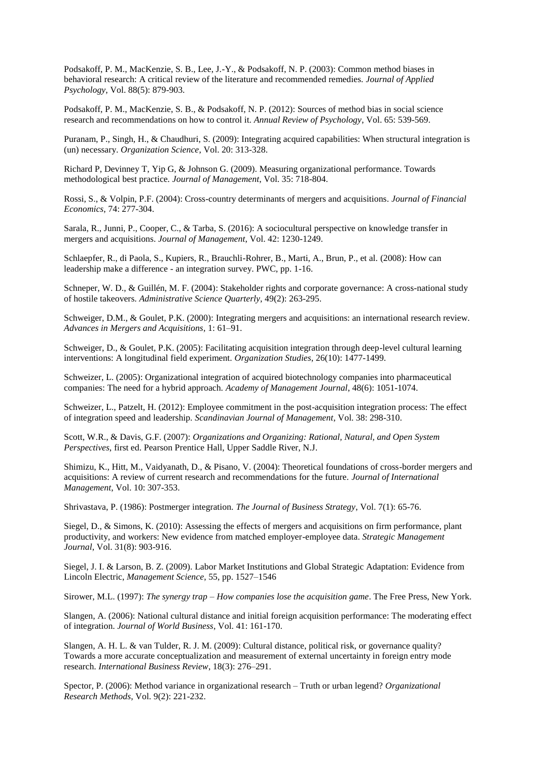Podsakoff, P. M., MacKenzie, S. B., Lee, J.-Y., & Podsakoff, N. P. (2003): Common method biases in behavioral research: A critical review of the literature and recommended remedies. *Journal of Applied Psychology*, Vol. 88(5): 879-903.

Podsakoff, P. M., MacKenzie, S. B., & Podsakoff, N. P. (2012): Sources of method bias in social science research and recommendations on how to control it. *Annual Review of Psychology*, Vol. 65: 539-569.

Puranam, P., Singh, H., & Chaudhuri, S. (2009): Integrating acquired capabilities: When structural integration is (un) necessary. *Organization Science*, Vol. 20: 313-328.

Richard P, Devinney T, Yip G, & Johnson G. (2009). Measuring organizational performance. Towards methodological best practice*. Journal of Management*, Vol. 35: 718-804.

Rossi, S., & Volpin, P.F. (2004): Cross-country determinants of mergers and acquisitions. *Journal of Financial Economics*, 74: 277-304.

Sarala, R., Junni, P., Cooper, C., & Tarba, S. (2016): A sociocultural perspective on knowledge transfer in mergers and acquisitions. *Journal of Management*, Vol. 42: 1230-1249.

Schlaepfer, R., di Paola, S., Kupiers, R., Brauchli-Rohrer, B., Marti, A., Brun, P., et al. (2008): How can leadership make a difference - an integration survey. PWC, pp. 1-16.

Schneper, W. D., & Guillén, M. F. (2004): Stakeholder rights and corporate governance: A cross-national study of hostile takeovers. *Administrative Science Quarterly*, 49(2): 263-295.

Schweiger, D.M., & Goulet, P.K. (2000): Integrating mergers and acquisitions: an international research review. *Advances in Mergers and Acquisitions,* 1: 61–91.

Schweiger, D., & Goulet, P.K. (2005): Facilitating acquisition integration through deep-level cultural learning interventions: A longitudinal field experiment. *Organization Studies*, 26(10): 1477-1499.

Schweizer, L. (2005): Organizational integration of acquired biotechnology companies into pharmaceutical companies: The need for a hybrid approach. *Academy of Management Journal*, 48(6): 1051-1074.

Schweizer, L., Patzelt, H. (2012): Employee commitment in the post-acquisition integration process: The effect of integration speed and leadership. *Scandinavian Journal of Management*, Vol. 38: 298-310.

Scott, W.R., & Davis, G.F. (2007): *Organizations and Organizing: Rational, Natural, and Open System Perspectives*, first ed. Pearson Prentice Hall, Upper Saddle River, N.J.

Shimizu, K., Hitt, M., Vaidyanath, D., & Pisano, V. (2004): Theoretical foundations of cross-border mergers and acquisitions: A review of current research and recommendations for the future. *Journal of International Management*, Vol. 10: 307-353.

Shrivastava, P. (1986): Postmerger integration. *The Journal of Business Strategy*, Vol. 7(1): 65-76.

Siegel, D., & Simons, K. (2010): Assessing the effects of mergers and acquisitions on firm performance, plant productivity, and workers: New evidence from matched employer-employee data. *Strategic Management Journal*, Vol. 31(8): 903-916.

Siegel, J. I. & Larson, B. Z. (2009). Labor Market Institutions and Global Strategic Adaptation: Evidence from Lincoln Electric, *Management Science*, 55, pp. 1527–1546

Sirower, M.L. (1997): *The synergy trap – How companies lose the acquisition game*. The Free Press, New York.

Slangen, A. (2006): National cultural distance and initial foreign acquisition performance: The moderating effect of integration. *Journal of World Business*, Vol. 41: 161-170.

Slangen, A. H. L. & van Tulder, R. J. M. (2009): Cultural distance, political risk, or governance quality? Towards a more accurate conceptualization and measurement of external uncertainty in foreign entry mode research. *International Business Review*, 18(3): 276–291.

Spector, P. (2006): Method variance in organizational research – Truth or urban legend? *Organizational Research Methods*, Vol. 9(2): 221-232.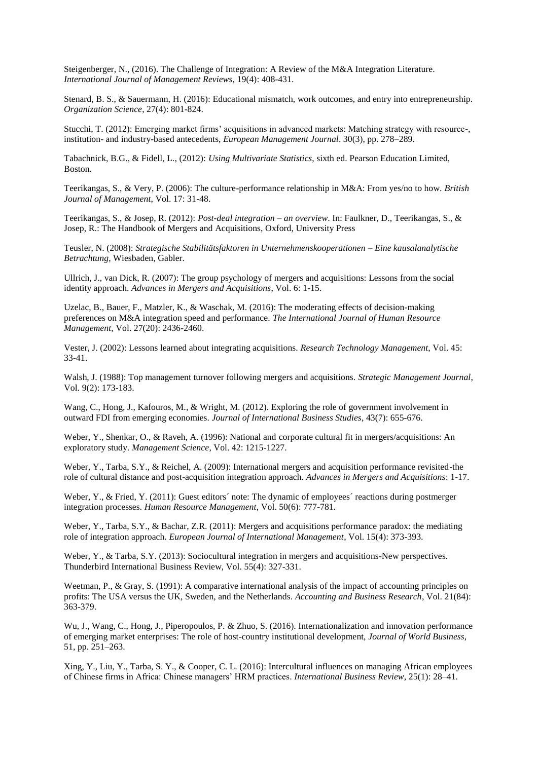Steigenberger, N., (2016). The Challenge of Integration: A Review of the M&A Integration Literature. *International Journal of Management Reviews*, 19(4): 408-431.

Stenard, B. S., & Sauermann, H. (2016): Educational mismatch, work outcomes, and entry into entrepreneurship. *Organization Science*, 27(4): 801-824.

Stucchi, T. (2012): Emerging market firms' acquisitions in advanced markets: Matching strategy with resource-, institution- and industry-based antecedents, *European Management Journal*. 30(3), pp. 278–289.

Tabachnick, B.G., & Fidell, L., (2012): *Using Multivariate Statistics*, sixth ed. Pearson Education Limited, Boston.

Teerikangas, S., & Very, P. (2006): The culture-performance relationship in M&A: From yes/no to how. *British Journal of Management*, Vol. 17: 31-48.

Teerikangas, S., & Josep, R. (2012): *Post-deal integration – an overview*. In: Faulkner, D., Teerikangas, S., & Josep, R.: The Handbook of Mergers and Acquisitions, Oxford, University Press

Teusler, N. (2008): *Strategische Stabilitätsfaktoren in Unternehmenskooperationen – Eine kausalanalytische Betrachtung*, Wiesbaden, Gabler.

Ullrich, J., van Dick, R. (2007): The group psychology of mergers and acquisitions: Lessons from the social identity approach. *Advances in Mergers and Acquisitions*, Vol. 6: 1-15.

Uzelac, B., Bauer, F., Matzler, K., & Waschak, M. (2016): The moderating effects of decision-making preferences on M&A integration speed and performance. *The International Journal of Human Resource Management*, Vol. 27(20): 2436-2460.

Vester, J. (2002): Lessons learned about integrating acquisitions. *Research Technology Management*, Vol. 45: 33-41.

Walsh, J. (1988): Top management turnover following mergers and acquisitions. *Strategic Management Journal*, Vol. 9(2): 173-183.

Wang, C., Hong, J., Kafouros, M., & Wright, M. (2012). Exploring the role of government involvement in outward FDI from emerging economies. *Journal of International Business Studies*, 43(7): 655-676.

Weber, Y., Shenkar, O., & Raveh, A. (1996): National and corporate cultural fit in mergers/acquisitions: An exploratory study. *Management Science*, Vol. 42: 1215-1227.

Weber, Y., Tarba, S.Y., & Reichel, A. (2009): International mergers and acquisition performance revisited-the role of cultural distance and post-acquisition integration approach. *Advances in Mergers and Acquisitions*: 1-17.

Weber, Y., & Fried, Y. (2011): Guest editors' note: The dynamic of employees' reactions during postmerger integration processes. *Human Resource Management*, Vol. 50(6): 777-781.

Weber, Y., Tarba, S.Y., & Bachar, Z.R. (2011): Mergers and acquisitions performance paradox: the mediating role of integration approach. *European Journal of International Management*, Vol. 15(4): 373-393.

Weber, Y., & Tarba, S.Y. (2013): Sociocultural integration in mergers and acquisitions-New perspectives. Thunderbird International Business Review, Vol. 55(4): 327-331.

Weetman, P., & Gray, S. (1991): A comparative international analysis of the impact of accounting principles on profits: The USA versus the UK, Sweden, and the Netherlands. *Accounting and Business Research*, Vol. 21(84): 363-379.

Wu, J., Wang, C., Hong, J., Piperopoulos, P. & Zhuo, S. (2016). Internationalization and innovation performance of emerging market enterprises: The role of host-country institutional development, *Journal of World Business*, 51, pp. 251–263.

Xing, Y., Liu, Y., Tarba, S. Y., & Cooper, C. L. (2016): Intercultural influences on managing African employees of Chinese firms in Africa: Chinese managers' HRM practices. *International Business Review*, 25(1): 28–41.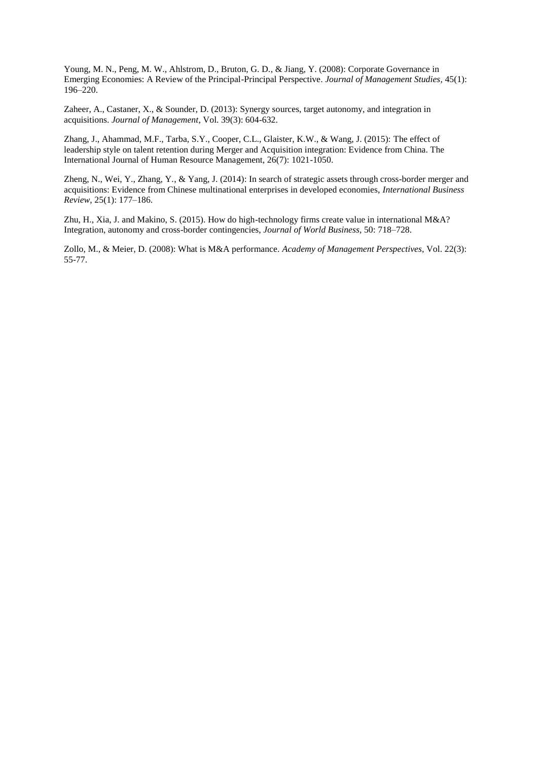Young, M. N., Peng, M. W., Ahlstrom, D., Bruton, G. D., & Jiang, Y. (2008): Corporate Governance in Emerging Economies: A Review of the Principal-Principal Perspective. *Journal of Management Studies*, 45(1): 196–220.

Zaheer, A., Castaner, X., & Sounder, D. (2013): Synergy sources, target autonomy, and integration in acquisitions. *Journal of Management*, Vol. 39(3): 604-632.

Zhang, J., Ahammad, M.F., Tarba, S.Y., Cooper, C.L., Glaister, K.W., & Wang, J. (2015): The effect of leadership style on talent retention during Merger and Acquisition integration: Evidence from China. The International Journal of Human Resource Management, 26(7): 1021-1050.

Zheng, N., Wei, Y., Zhang, Y., & Yang, J. (2014): In search of strategic assets through cross-border merger and acquisitions: Evidence from Chinese multinational enterprises in developed economies, *International Business Review*, 25(1): 177–186.

Zhu, H., Xia, J. and Makino, S. (2015). How do high-technology firms create value in international M&A? Integration, autonomy and cross-border contingencies, *Journal of World Business*, 50: 718–728.

Zollo, M., & Meier, D. (2008): What is M&A performance. *Academy of Management Perspectives*, Vol. 22(3): 55-77.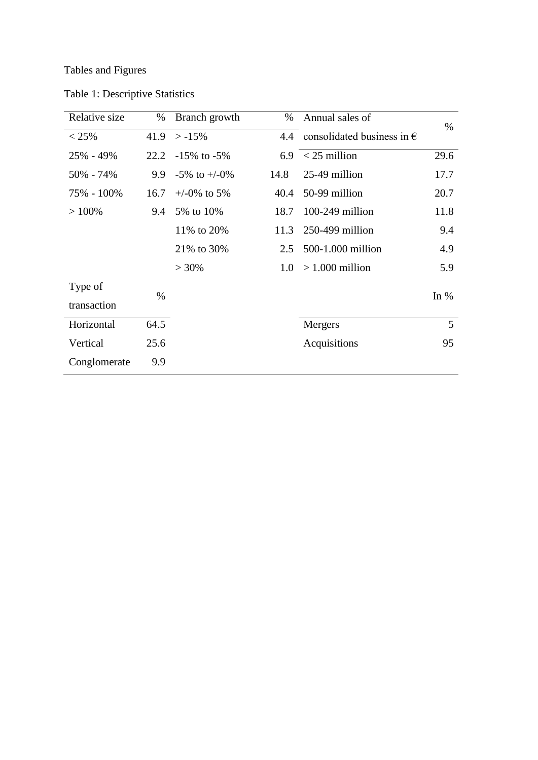Tables and Figures

| Relative size | $\%$ | Branch growth      | $\%$ | Annual sales of                         | $\%$           |  |
|---------------|------|--------------------|------|-----------------------------------------|----------------|--|
| $< 25\%$      | 41.9 | $> -15\%$          |      | 4.4 consolidated business in $\epsilon$ |                |  |
| 25% - 49%     | 22.2 | $-15\%$ to $-5\%$  |      | $6.9 < 25$ million                      | 29.6           |  |
| $50\% - 74\%$ | 9.9  | $-5\%$ to $+/-0\%$ | 14.8 | 25-49 million                           | 17.7           |  |
| 75% - 100%    | 16.7 | $+/-0\%$ to 5%     | 40.4 | 50-99 million                           | 20.7           |  |
| $>100\%$      | 9.4  | 5% to 10%          | 18.7 | $100-249$ million                       | 11.8           |  |
|               |      | 11% to 20%         | 11.3 | 250-499 million                         | 9.4            |  |
|               |      | 21% to 30%         | 2.5  | 500-1.000 million                       | 4.9            |  |
|               |      | $> 30\%$           | 1.0  | $>1.000$ million                        | 5.9            |  |
| Type of       | $\%$ |                    |      |                                         | In $%$         |  |
| transaction   |      |                    |      |                                         |                |  |
| Horizontal    | 64.5 |                    |      | Mergers                                 | $\overline{5}$ |  |
| Vertical      | 25.6 |                    |      | Acquisitions                            | 95             |  |
| Conglomerate  | 9.9  |                    |      |                                         |                |  |

Table 1: Descriptive Statistics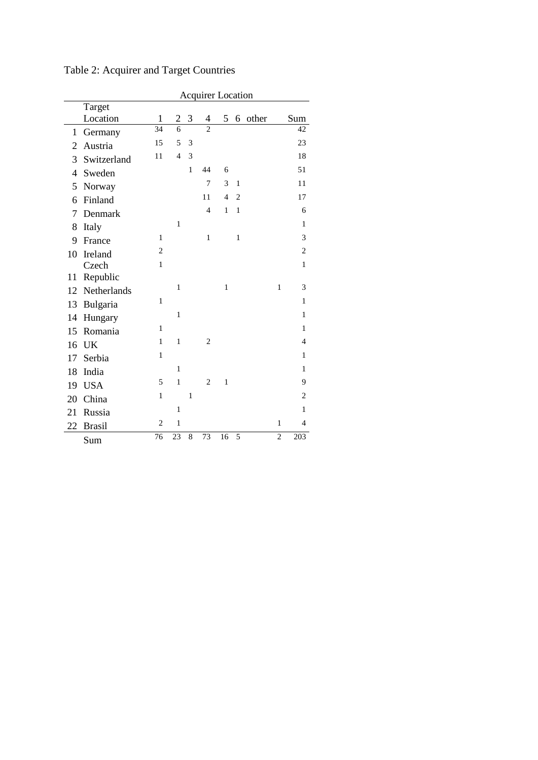|                | <b>Acquirer Location</b> |                |                |              |                |                |                |           |                |                |
|----------------|--------------------------|----------------|----------------|--------------|----------------|----------------|----------------|-----------|----------------|----------------|
|                | Target                   |                |                |              |                |                |                |           |                |                |
|                | Location                 | $\mathbf{1}$   | $\overline{2}$ | 3            | 4              |                |                | 5 6 other |                | Sum            |
| 1              | Germany                  | 34             | $\overline{6}$ |              | $\overline{2}$ |                |                |           |                | 42             |
| $\overline{2}$ | Austria                  | 15             | 5              | 3            |                |                |                |           |                | 23             |
| 3              | Switzerland              | 11             | $\overline{4}$ | 3            |                |                |                |           |                | 18             |
| 4              | Sweden                   |                |                | $\mathbf{1}$ | 44             | 6              |                |           |                | 51             |
| 5              | Norway                   |                |                |              | $\overline{7}$ | 3              | $\mathbf{1}$   |           |                | 11             |
| 6              | Finland                  |                |                |              | 11             | $\overline{4}$ | $\overline{2}$ |           |                | 17             |
| 7              | Denmark                  |                |                |              | $\overline{4}$ | $\mathbf{1}$   | $\mathbf{1}$   |           |                | 6              |
| 8              | Italy                    |                | 1              |              |                |                |                |           |                | $\mathbf{1}$   |
| 9              | France                   | $\mathbf{1}$   |                |              | $\,1$          |                | $\mathbf{1}$   |           |                | 3              |
| 10             | Ireland                  | $\overline{c}$ |                |              |                |                |                |           |                | $\overline{c}$ |
|                | Czech                    | $\mathbf{1}$   |                |              |                |                |                |           |                | $\mathbf{1}$   |
| 11             | Republic                 |                |                |              |                |                |                |           |                |                |
| 12             | Netherlands              |                | $\mathbf{1}$   |              |                | $\mathbf{1}$   |                |           | $\mathbf{1}$   | 3              |
| 13             | Bulgaria                 | $\mathbf{1}$   |                |              |                |                |                |           |                | $\mathbf{1}$   |
| 14             | Hungary                  |                | $\mathbf{1}$   |              |                |                |                |           |                | $\mathbf{1}$   |
| 15             | Romania                  | 1              |                |              |                |                |                |           |                | $\mathbf{1}$   |
| 16             | UK                       | $\mathbf{1}$   | $\mathbf{1}$   |              | 2              |                |                |           |                | $\overline{4}$ |
| 17             | Serbia                   | $\mathbf{1}$   |                |              |                |                |                |           |                | $\mathbf{1}$   |
| 18             | India                    |                | $\,1$          |              |                |                |                |           |                | $\mathbf{1}$   |
| 19             | <b>USA</b>               | 5              | 1              |              | $\overline{c}$ | $\mathbf{1}$   |                |           |                | 9              |
| 20             | China                    | $\mathbf{1}$   |                | $\mathbf{1}$ |                |                |                |           |                | $\overline{c}$ |
| 21             | Russia                   |                | $\mathbf{1}$   |              |                |                |                |           |                | $\mathbf{1}$   |
| 22             | <b>Brasil</b>            | $\overline{c}$ | $\,1$          |              |                |                |                |           | $\mathbf{1}$   | $\overline{4}$ |
|                | Sum                      | 76             | 23             | 8            | 73             | 16             | 5              |           | $\overline{c}$ | 203            |

Table 2: Acquirer and Target Countries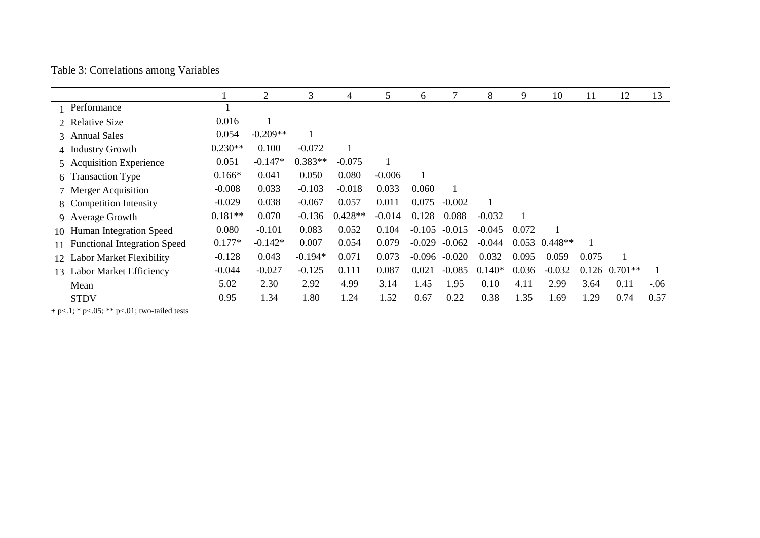|  | Table 3: Correlations among Variables |  |  |
|--|---------------------------------------|--|--|
|--|---------------------------------------|--|--|

|    |                                     |           | 2          | 3         | 4         | 5        | 6        |          | 8        | 9     | 10                | 11    | 12                | 13     |
|----|-------------------------------------|-----------|------------|-----------|-----------|----------|----------|----------|----------|-------|-------------------|-------|-------------------|--------|
|    | Performance                         |           |            |           |           |          |          |          |          |       |                   |       |                   |        |
|    | 2 Relative Size                     | 0.016     |            |           |           |          |          |          |          |       |                   |       |                   |        |
|    | 3 Annual Sales                      | 0.054     | $-0.209**$ |           |           |          |          |          |          |       |                   |       |                   |        |
|    | 4 Industry Growth                   | $0.230**$ | 0.100      | $-0.072$  |           |          |          |          |          |       |                   |       |                   |        |
|    | 5 Acquisition Experience            | 0.051     | $-0.147*$  | $0.383**$ | $-0.075$  |          |          |          |          |       |                   |       |                   |        |
|    | 6 Transaction Type                  | $0.166*$  | 0.041      | 0.050     | 0.080     | $-0.006$ |          |          |          |       |                   |       |                   |        |
|    | 7 Merger Acquisition                | $-0.008$  | 0.033      | $-0.103$  | $-0.018$  | 0.033    | 0.060    |          |          |       |                   |       |                   |        |
|    | 8 Competition Intensity             | $-0.029$  | 0.038      | $-0.067$  | 0.057     | 0.011    | 0.075    | $-0.002$ |          |       |                   |       |                   |        |
|    | 9 Average Growth                    | $0.181**$ | 0.070      | $-0.136$  | $0.428**$ | $-0.014$ | 0.128    | 0.088    | $-0.032$ |       |                   |       |                   |        |
| 10 | Human Integration Speed             | 0.080     | $-0.101$   | 0.083     | 0.052     | 0.104    | $-0.105$ | $-0.015$ | $-0.045$ | 0.072 |                   |       |                   |        |
|    | <b>Functional Integration Speed</b> | $0.177*$  | $-0.142*$  | 0.007     | 0.054     | 0.079    | $-0.029$ | $-0.062$ | $-0.044$ |       | $0.053$ $0.448**$ |       |                   |        |
| 12 | <b>Labor Market Flexibility</b>     | $-0.128$  | 0.043      | $-0.194*$ | 0.071     | 0.073    | $-0.096$ | $-0.020$ | 0.032    | 0.095 | 0.059             | 0.075 |                   |        |
| 13 | <b>Labor Market Efficiency</b>      | $-0.044$  | $-0.027$   | $-0.125$  | 0.111     | 0.087    | 0.021    | $-0.085$ | $0.140*$ | 0.036 | $-0.032$          |       | $0.126$ $0.701**$ |        |
|    | Mean                                | 5.02      | 2.30       | 2.92      | 4.99      | 3.14     | 1.45     | 1.95     | 0.10     | 4.11  | 2.99              | 3.64  | 0.11              | $-.06$ |
|    | <b>STDV</b>                         | 0.95      | 1.34       | 1.80      | 1.24      | 1.52     | 0.67     | 0.22     | 0.38     | 1.35  | 1.69              | 1.29  | 0.74              | 0.57   |

 $+ p < 1; * p < 05; ** p < 01;$  two-tailed tests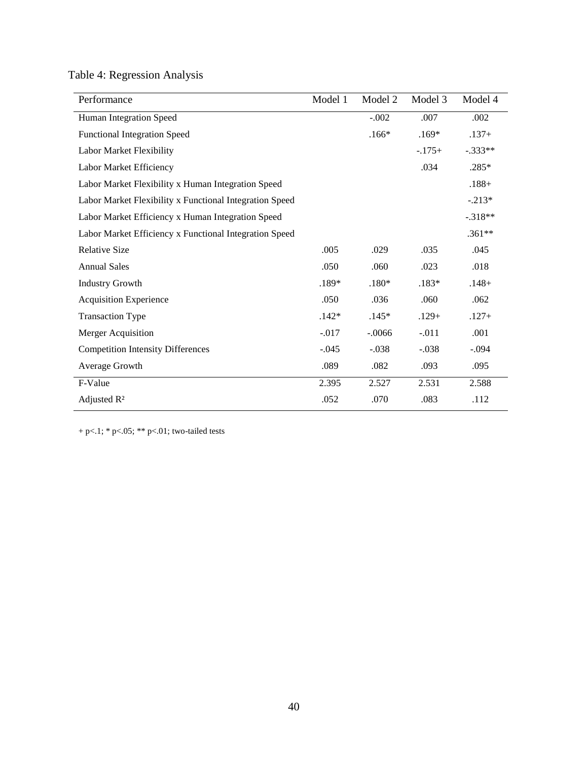Table 4: Regression Analysis

| Performance                                             | Model 1 | Model 2  | Model 3  | Model 4   |
|---------------------------------------------------------|---------|----------|----------|-----------|
| Human Integration Speed                                 |         | $-.002$  | .007     | .002      |
| <b>Functional Integration Speed</b>                     |         | $.166*$  | $.169*$  | $.137+$   |
| Labor Market Flexibility                                |         |          | $-.175+$ | $-.333**$ |
| Labor Market Efficiency                                 |         |          | .034     | .285*     |
| Labor Market Flexibility x Human Integration Speed      |         |          |          | $.188 +$  |
| Labor Market Flexibility x Functional Integration Speed |         |          |          | $-.213*$  |
| Labor Market Efficiency x Human Integration Speed       |         |          |          | $-.318**$ |
| Labor Market Efficiency x Functional Integration Speed  |         |          |          | $.361**$  |
| <b>Relative Size</b>                                    | .005    | .029     | .035     | .045      |
| <b>Annual Sales</b>                                     | .050    | .060     | .023     | .018      |
| <b>Industry Growth</b>                                  | $.189*$ | $.180*$  | $.183*$  | $.148+$   |
| <b>Acquisition Experience</b>                           | .050    | .036     | .060     | .062      |
| <b>Transaction Type</b>                                 | $.142*$ | $.145*$  | $.129+$  | $.127+$   |
| <b>Merger Acquisition</b>                               | $-.017$ | $-.0066$ | $-.011$  | .001      |
| <b>Competition Intensity Differences</b>                | $-.045$ | $-.038$  | $-.038$  | $-.094$   |
| Average Growth                                          | .089    | .082     | .093     | .095      |
| F-Value                                                 | 2.395   | 2.527    | 2.531    | 2.588     |
| Adjusted R <sup>2</sup>                                 | .052    | .070     | .083     | .112      |

+ p<.1; \* p<.05; \*\* p<.01; two-tailed tests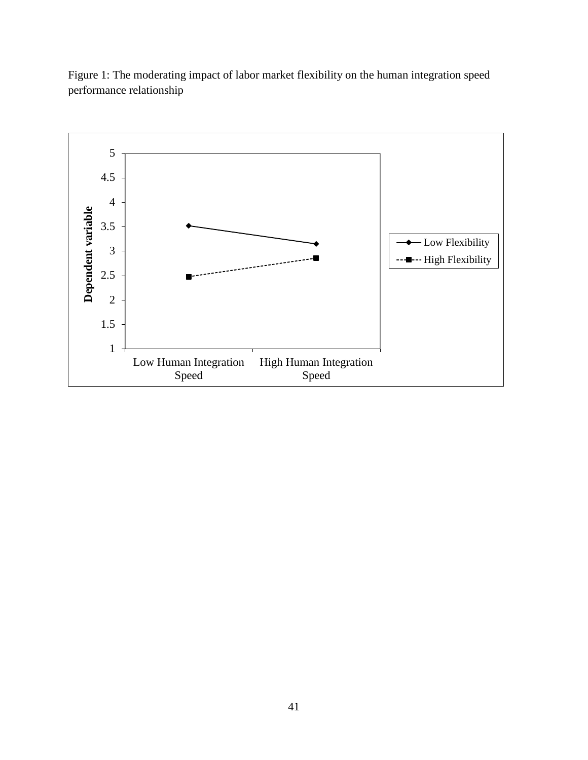

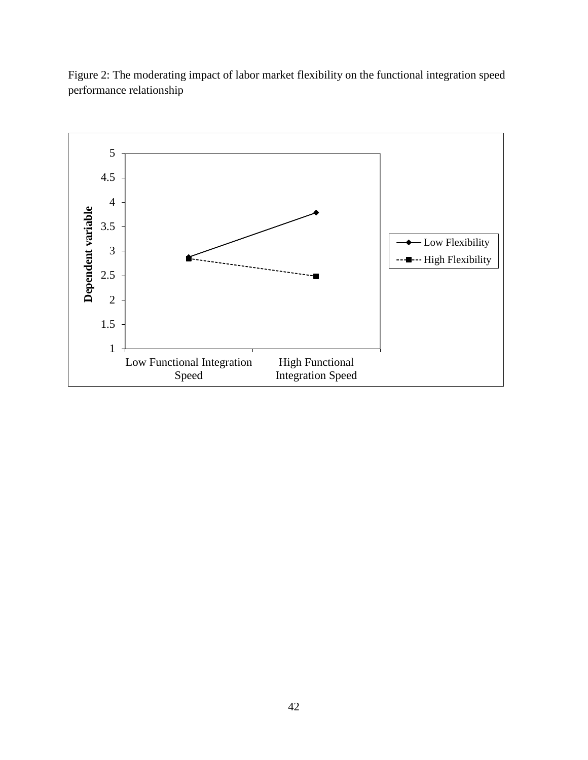

Figure 2: The moderating impact of labor market flexibility on the functional integration speed performance relationship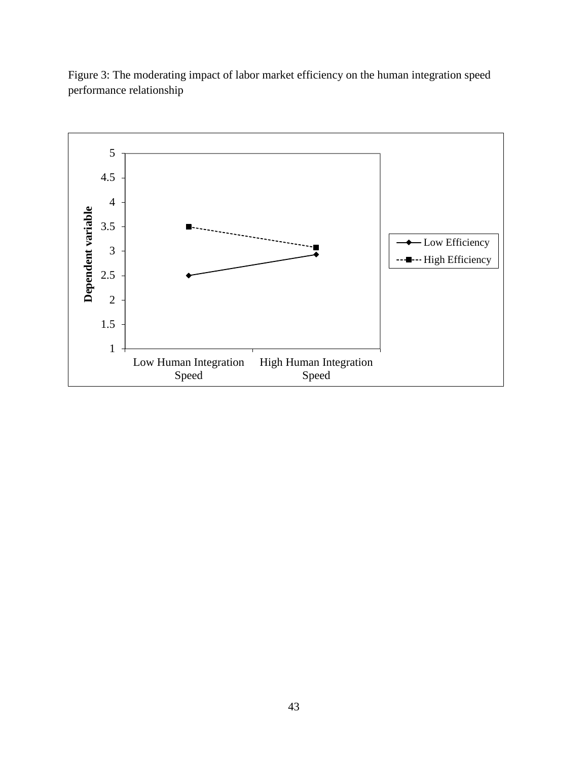

Figure 3: The moderating impact of labor market efficiency on the human integration speed performance relationship